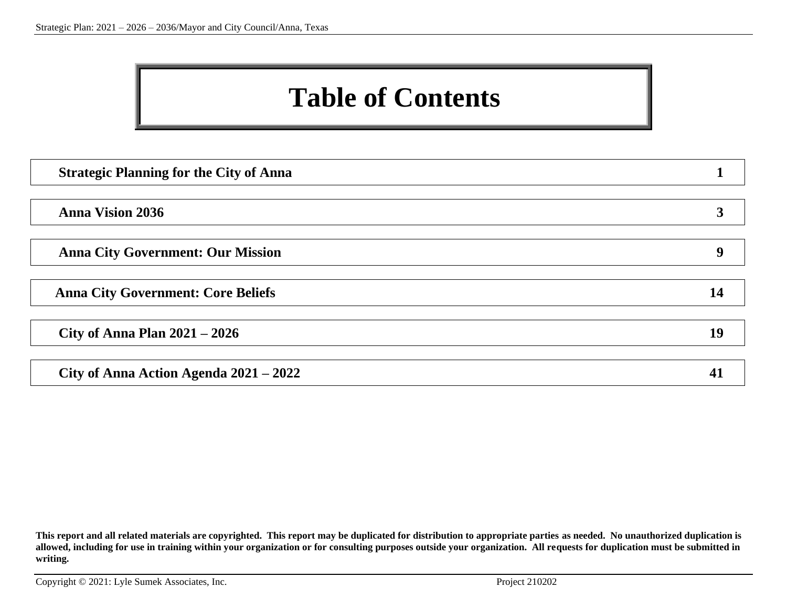### **Table of Contents**

| <b>Strategic Planning for the City of Anna</b> |    |
|------------------------------------------------|----|
|                                                |    |
| <b>Anna Vision 2036</b>                        |    |
|                                                |    |
| <b>Anna City Government: Our Mission</b>       | 4  |
|                                                |    |
| <b>Anna City Government: Core Beliefs</b>      | 14 |
|                                                |    |
| City of Anna Plan $2021 - 2026$                | 19 |
|                                                |    |
| City of Anna Action Agenda $2021 - 2022$       |    |

**This report and all related materials are copyrighted. This report may be duplicated for distribution to appropriate parties as needed. No unauthorized duplication is allowed, including for use in training within your organization or for consulting purposes outside your organization. All requests for duplication must be submitted in writing.**

Copyright © 2021: Lyle Sumek Associates, Inc. Project 210202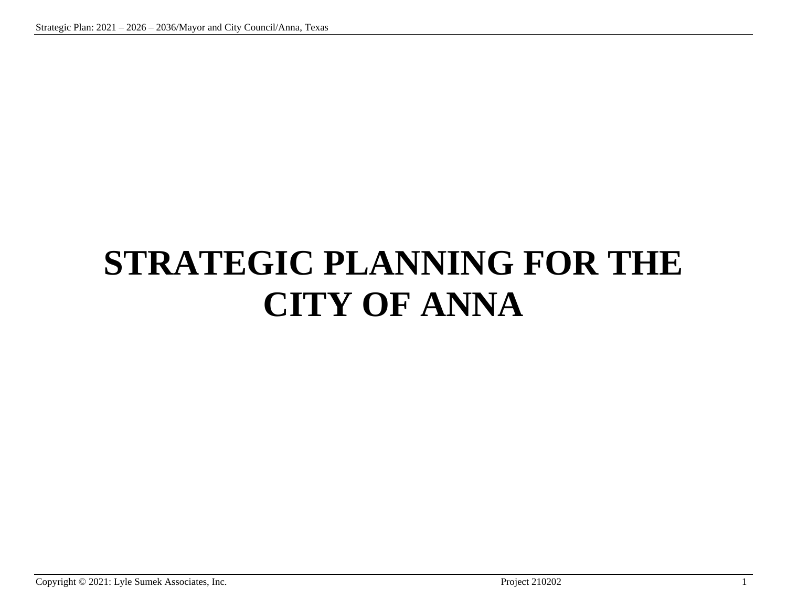# **STRATEGIC PLANNING FOR THE CITY OF ANNA**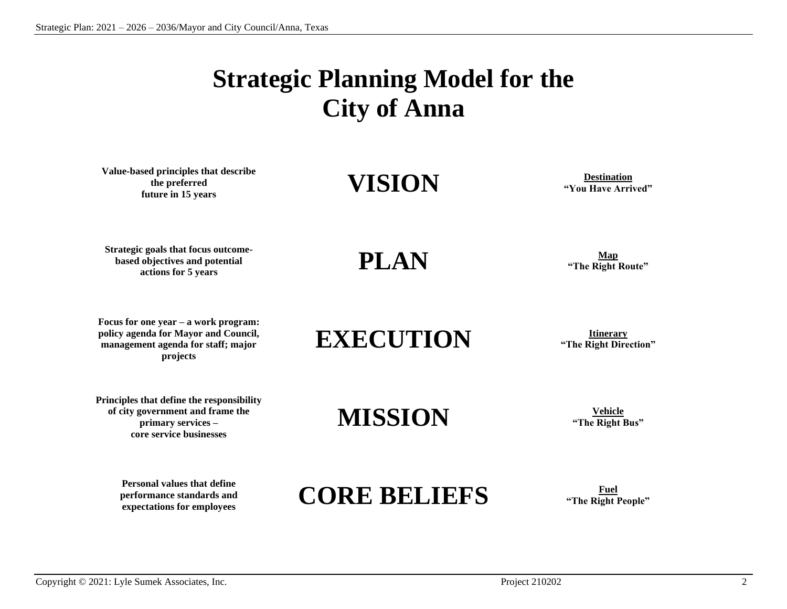## **Strategic Planning Model for the City of Anna**

**Value-based principles that describe the preferred future in 15 years**<br> **future in 15 years**<br> **future in 15 years** 

**"You Have Arrived"**

**Strategic goals that focus outcomebased objectives and potential b** actions for 5 years<br> **actions for 5 years and potential**<br> **actions for 5 years and potential** 

**Focus for one year – a work program: policy agenda for Mayor and Council, management agenda for staff; major projects**

**"The Right Route"**

**EXECUTION Itinerary Integral CON Integral CON Integral CON** 

**"The Right Direction"**

**Principles that define the responsibility of city government and frame the primary services – core service businesses**

> **Personal values that define performance standards and**

## **MISSION Vehicle**

**"The Right Bus"**

## **Expectations for employees**<br>expectations for employees **CORE BELIEFS FIGURE THE SERVIEW FIGURE ASSESS**

**"The Right People"**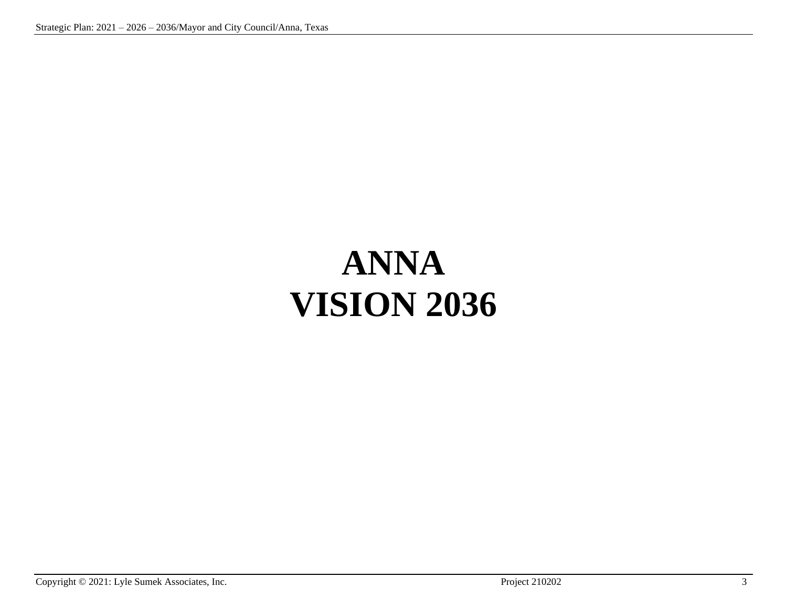# **ANNA VISION 2036**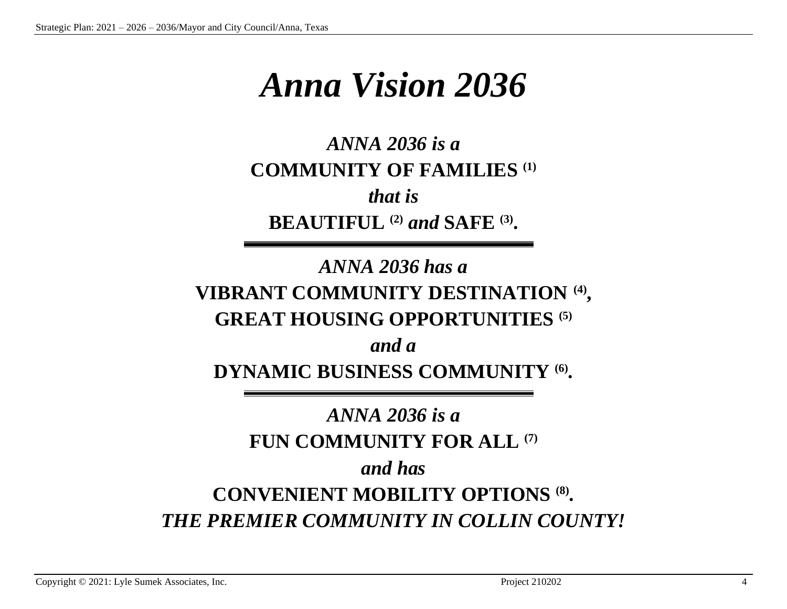## *Anna Vision 2036*

*ANNA 2036 is a* **COMMUNITY OF FAMILIES (1)** *that is* **BEAUTIFUL (2)** *and* **SAFE (3) .**

### *ANNA 2036 has a* **VIBRANT COMMUNITY DESTINATION (4) , GREAT HOUSING OPPORTUNITIES (5)**

*and a* **DYNAMIC BUSINESS COMMUNITY (6) .**

### *ANNA 2036 is a* **FUN COMMUNITY FOR ALL (7)** *and has* **CONVENIENT MOBILITY OPTIONS (8) .** *THE PREMIER COMMUNITY IN COLLIN COUNTY!*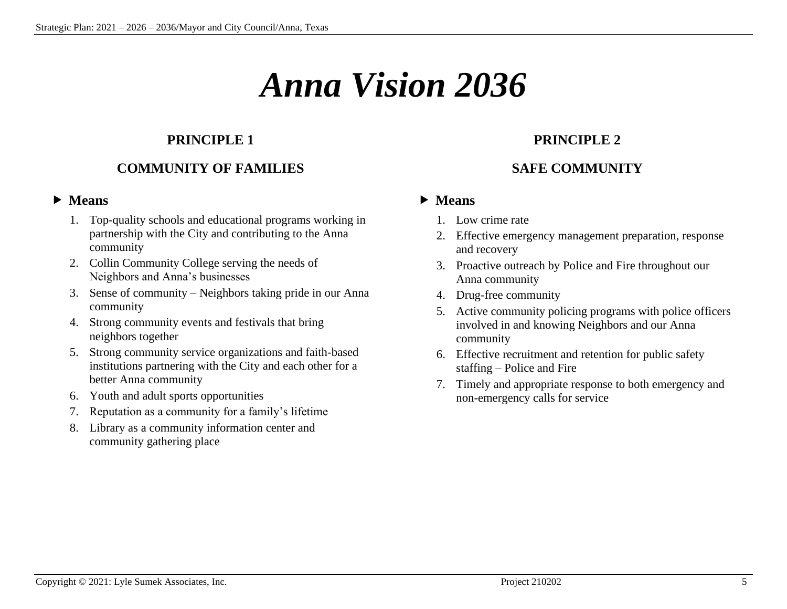## *Anna Vision 2036*

#### **PRINCIPLE 1**

#### **COMMUNITY OF FAMILIES**

#### **Means**

- 1. Top-quality schools and educational programs working in partnership with the City and contributing to the Anna community
- 2. Collin Community College serving the needs of Neighbors and Anna's businesses
- 3. Sense of community Neighbors taking pride in our Anna community
- 4. Strong community events and festivals that bring neighbors together
- 5. Strong community service organizations and faith-based institutions partnering with the City and each other for a better Anna community
- 6. Youth and adult sports opportunities
- 7. Reputation as a community for a family's lifetime
- 8. Library as a community information center and community gathering place

#### **PRINCIPLE 2**

#### **SAFE COMMUNITY**

- 1. Low crime rate
- 2. Effective emergency management preparation, response and recovery
- 3. Proactive outreach by Police and Fire throughout our Anna community
- 4. Drug-free community
- 5. Active community policing programs with police officers involved in and knowing Neighbors and our Anna community
- 6. Effective recruitment and retention for public safety staffing – Police and Fire
- 7. Timely and appropriate response to both emergency and non-emergency calls for service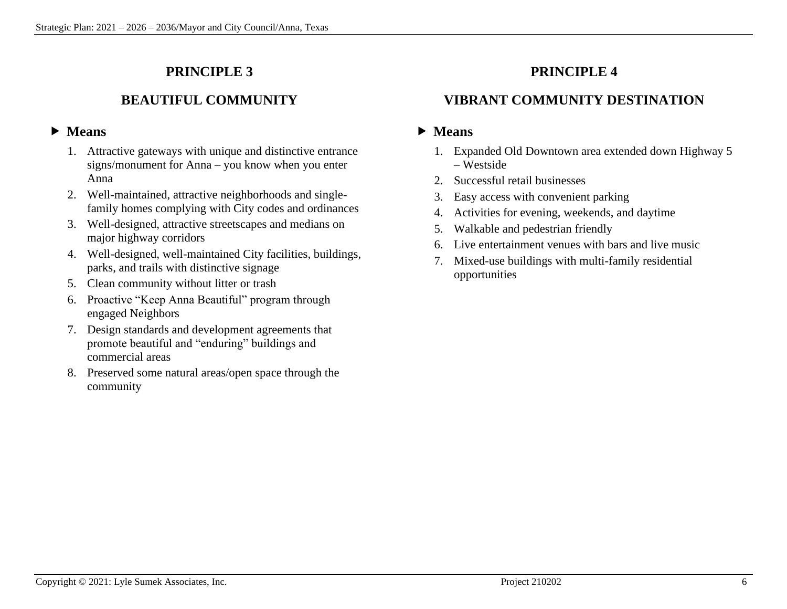#### **BEAUTIFUL COMMUNITY**

#### **Means**

- 1. Attractive gateways with unique and distinctive entrance signs/monument for Anna – you know when you enter Anna
- 2. Well-maintained, attractive neighborhoods and singlefamily homes complying with City codes and ordinances
- 3. Well-designed, attractive streetscapes and medians on major highway corridors
- 4. Well-designed, well-maintained City facilities, buildings, parks, and trails with distinctive signage
- 5. Clean community without litter or trash
- 6. Proactive "Keep Anna Beautiful" program through engaged Neighbors
- 7. Design standards and development agreements that promote beautiful and "enduring" buildings and commercial areas
- 8. Preserved some natural areas/open space through the community

#### **PRINCIPLE 4**

#### **VIBRANT COMMUNITY DESTINATION**

- 1. Expanded Old Downtown area extended down Highway 5 – Westside
- 2. Successful retail businesses
- 3. Easy access with convenient parking
- 4. Activities for evening, weekends, and daytime
- 5. Walkable and pedestrian friendly
- 6. Live entertainment venues with bars and live music
- 7. Mixed-use buildings with multi-family residential opportunities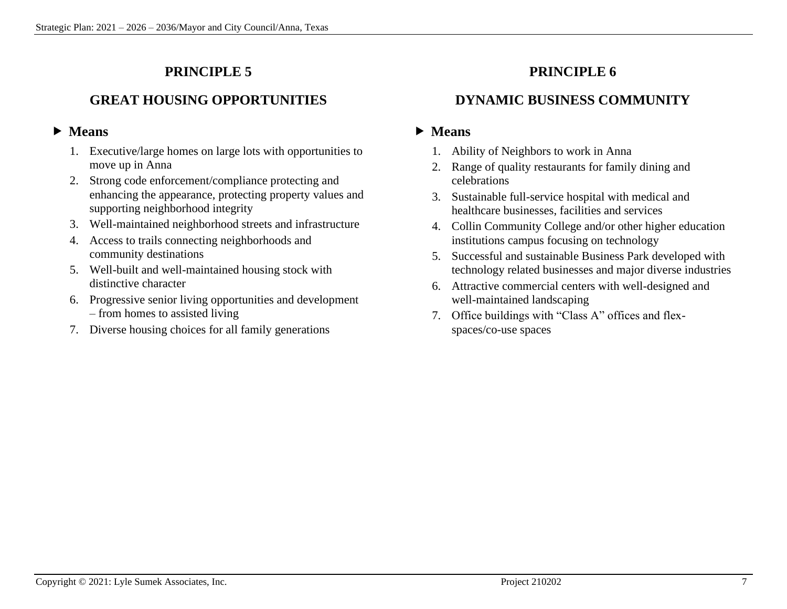#### **GREAT HOUSING OPPORTUNITIES**

#### **Means**

- 1. Executive/large homes on large lots with opportunities to move up in Anna
- 2. Strong code enforcement/compliance protecting and enhancing the appearance, protecting property values and supporting neighborhood integrity
- 3. Well-maintained neighborhood streets and infrastructure
- 4. Access to trails connecting neighborhoods and community destinations
- 5. Well-built and well-maintained housing stock with distinctive character
- 6. Progressive senior living opportunities and development – from homes to assisted living
- 7. Diverse housing choices for all family generations

#### **PRINCIPLE 6**

#### **DYNAMIC BUSINESS COMMUNITY**

- 1. Ability of Neighbors to work in Anna
- 2. Range of quality restaurants for family dining and celebrations
- 3. Sustainable full-service hospital with medical and healthcare businesses, facilities and services
- 4. Collin Community College and/or other higher education institutions campus focusing on technology
- 5. Successful and sustainable Business Park developed with technology related businesses and major diverse industries
- 6. Attractive commercial centers with well-designed and well-maintained landscaping
- 7. Office buildings with "Class A" offices and flexspaces/co-use spaces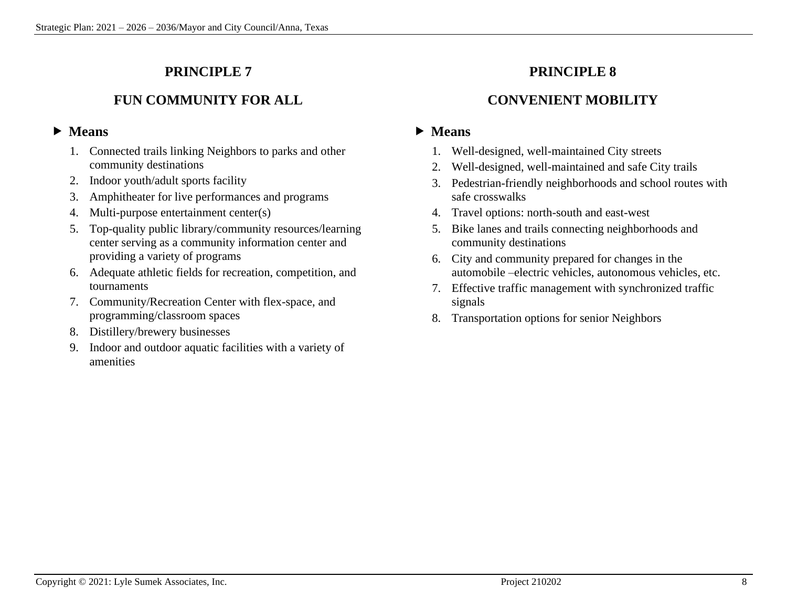#### **FUN COMMUNITY FOR ALL**

#### **Means**

- 1. Connected trails linking Neighbors to parks and other community destinations
- 2. Indoor youth/adult sports facility
- 3. Amphitheater for live performances and programs
- 4. Multi-purpose entertainment center(s)
- 5. Top-quality public library/community resources/learning center serving as a community information center and providing a variety of programs
- 6. Adequate athletic fields for recreation, competition, and tournaments
- 7. Community/Recreation Center with flex-space, and programming/classroom spaces
- 8. Distillery/brewery businesses
- 9. Indoor and outdoor aquatic facilities with a variety of amenities

#### **PRINCIPLE 8**

#### **CONVENIENT MOBILITY**

- 1. Well-designed, well-maintained City streets
- 2. Well-designed, well-maintained and safe City trails
- 3. Pedestrian-friendly neighborhoods and school routes with safe crosswalks
- 4. Travel options: north-south and east-west
- 5. Bike lanes and trails connecting neighborhoods and community destinations
- 6. City and community prepared for changes in the automobile –electric vehicles, autonomous vehicles, etc.
- 7. Effective traffic management with synchronized traffic signals
- 8. Transportation options for senior Neighbors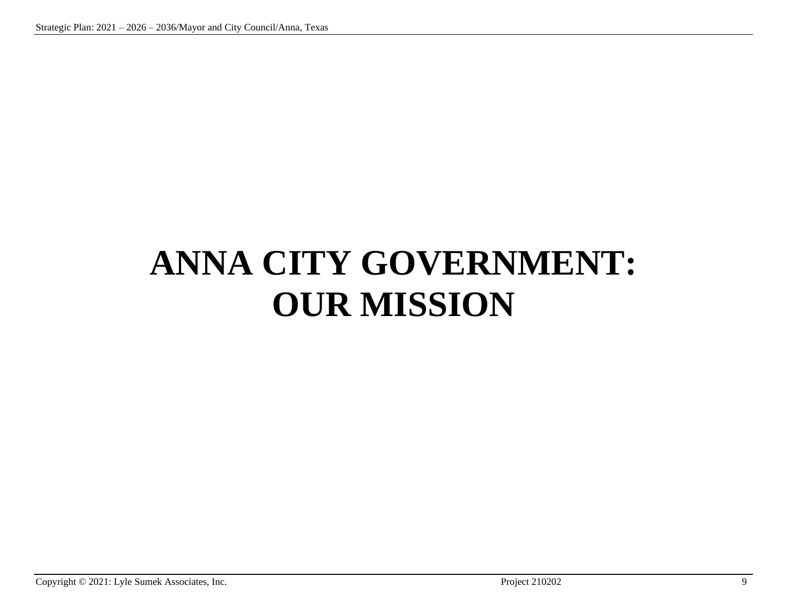# **ANNA CITY GOVERNMENT: OUR MISSION**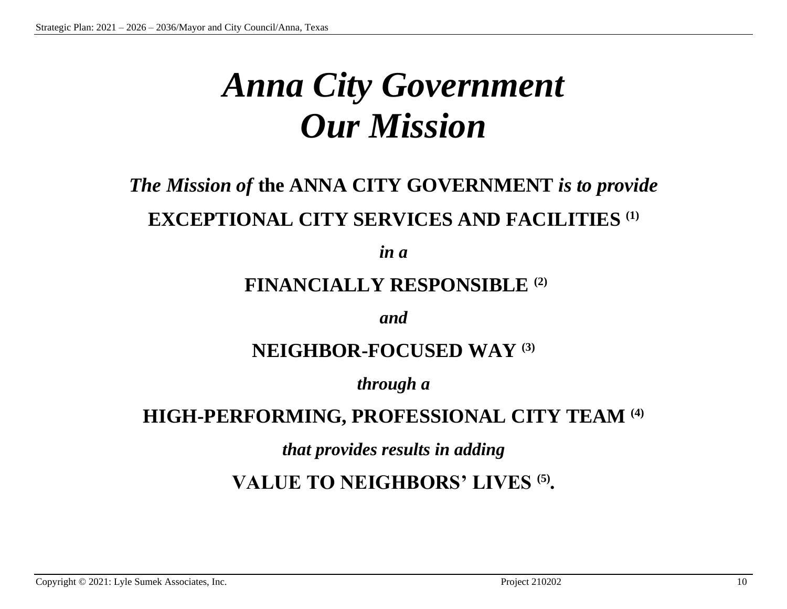## *Anna City Government Our Mission*

### *The Mission of* **the ANNA CITY GOVERNMENT** *is to provide* **EXCEPTIONAL CITY SERVICES AND FACILITIES (1)**

*in a*

### **FINANCIALLY RESPONSIBLE (2)**

*and*

### **NEIGHBOR-FOCUSED WAY (3)**

*through a*

### **HIGH-PERFORMING, PROFESSIONAL CITY TEAM (4)**

*that provides results in adding*

**VALUE TO NEIGHBORS' LIVES (5) .**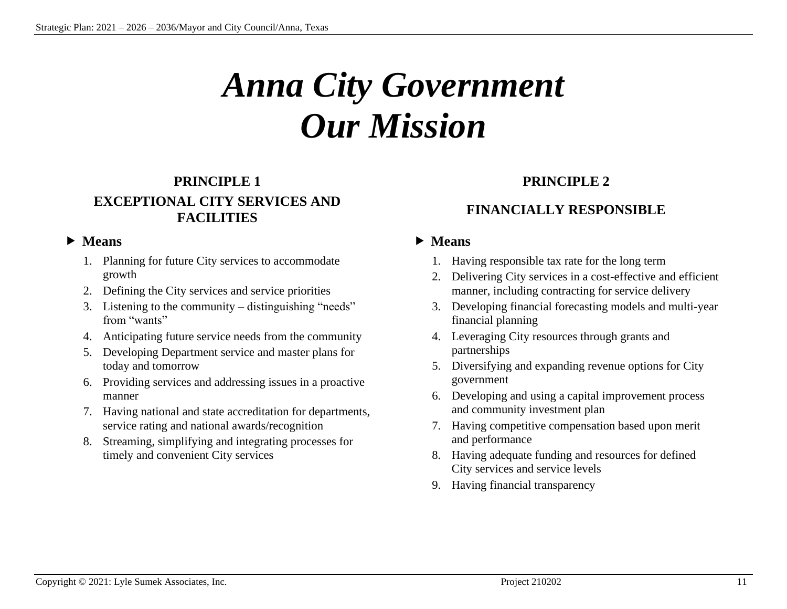# *Anna City Government Our Mission*

#### **PRINCIPLE 1 EXCEPTIONAL CITY SERVICES AND FACILITIES**

#### **Means**

- 1. Planning for future City services to accommodate growth
- 2. Defining the City services and service priorities
- 3. Listening to the community distinguishing "needs" from "wants"
- 4. Anticipating future service needs from the community
- 5. Developing Department service and master plans for today and tomorrow
- 6. Providing services and addressing issues in a proactive manner
- 7. Having national and state accreditation for departments, service rating and national awards/recognition
- 8. Streaming, simplifying and integrating processes for timely and convenient City services

#### **PRINCIPLE 2**

#### **FINANCIALLY RESPONSIBLE**

- 1. Having responsible tax rate for the long term
- 2. Delivering City services in a cost-effective and efficient manner, including contracting for service delivery
- 3. Developing financial forecasting models and multi-year financial planning
- 4. Leveraging City resources through grants and partnerships
- 5. Diversifying and expanding revenue options for City government
- 6. Developing and using a capital improvement process and community investment plan
- 7. Having competitive compensation based upon merit and performance
- 8. Having adequate funding and resources for defined City services and service levels
- 9. Having financial transparency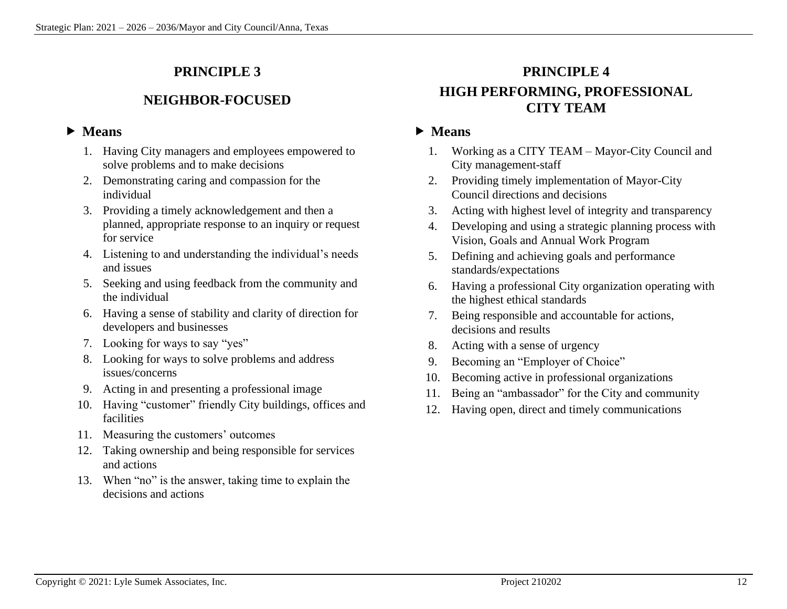#### **NEIGHBOR-FOCUSED**

#### **Means**

- 1. Having City managers and employees empowered to solve problems and to make decisions
- 2. Demonstrating caring and compassion for the individual
- 3. Providing a timely acknowledgement and then a planned, appropriate response to an inquiry or request for service
- 4. Listening to and understanding the individual's needs and issues
- 5. Seeking and using feedback from the community and the individual
- 6. Having a sense of stability and clarity of direction for developers and businesses
- 7. Looking for ways to say "yes"
- 8. Looking for ways to solve problems and address issues/concerns
- 9. Acting in and presenting a professional image
- 10. Having "customer" friendly City buildings, offices and facilities
- 11. Measuring the customers' outcomes
- 12. Taking ownership and being responsible for services and actions
- 13. When "no" is the answer, taking time to explain the decisions and actions

### **PRINCIPLE 4 HIGH PERFORMING, PROFESSIONAL CITY TEAM**

- 1. Working as a CITY TEAM Mayor-City Council and City management-staff
- 2. Providing timely implementation of Mayor-City Council directions and decisions
- 3. Acting with highest level of integrity and transparency
- 4. Developing and using a strategic planning process with Vision, Goals and Annual Work Program
- 5. Defining and achieving goals and performance standards/expectations
- 6. Having a professional City organization operating with the highest ethical standards
- 7. Being responsible and accountable for actions, decisions and results
- 8. Acting with a sense of urgency
- 9. Becoming an "Employer of Choice"
- 10. Becoming active in professional organizations
- 11. Being an "ambassador" for the City and community
- 12. Having open, direct and timely communications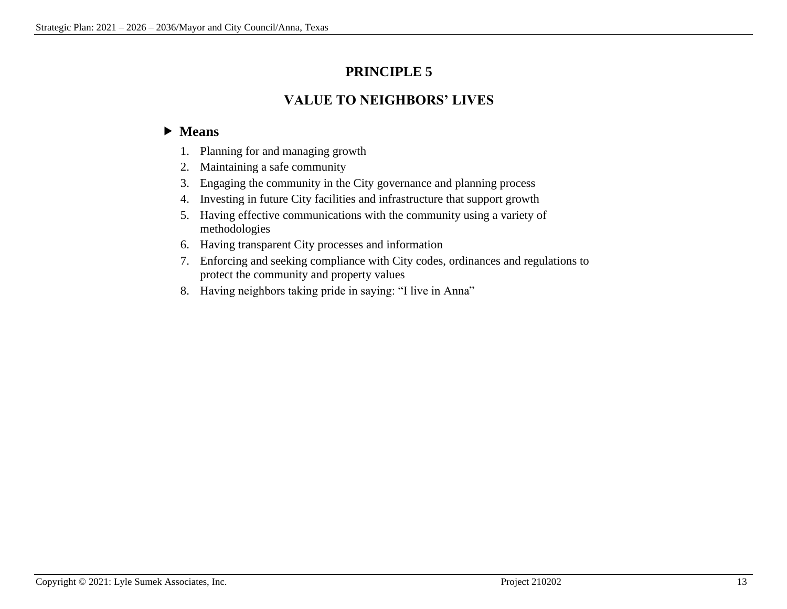#### **VALUE TO NEIGHBORS' LIVES**

- 1. Planning for and managing growth
- 2. Maintaining a safe community
- 3. Engaging the community in the City governance and planning process
- 4. Investing in future City facilities and infrastructure that support growth
- 5. Having effective communications with the community using a variety of methodologies
- 6. Having transparent City processes and information
- 7. Enforcing and seeking compliance with City codes, ordinances and regulations to protect the community and property values
- 8. Having neighbors taking pride in saying: "I live in Anna"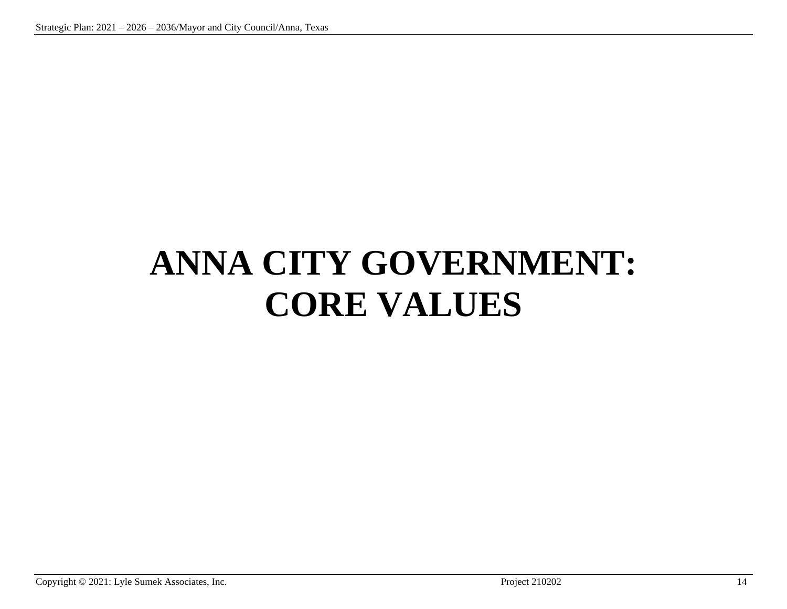# **ANNA CITY GOVERNMENT: CORE VALUES**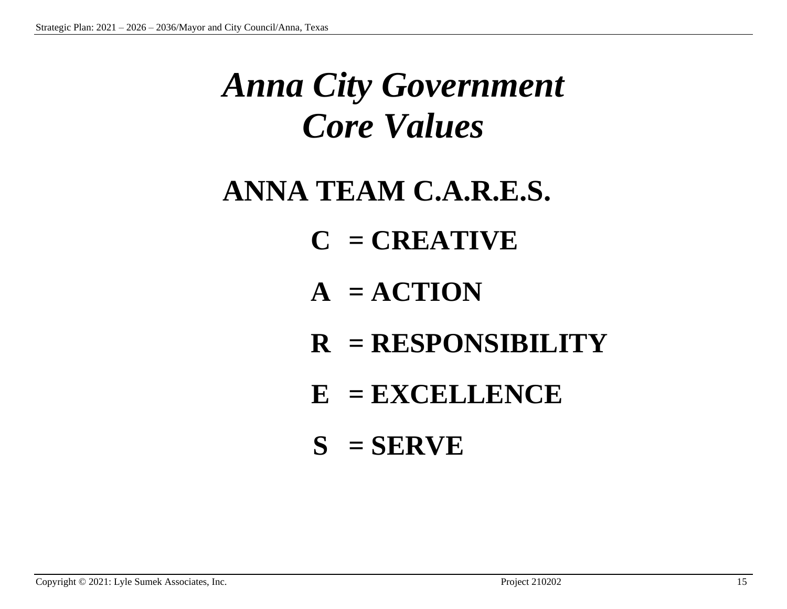## *Anna City Government Core Values*

## **ANNA TEAM C.A.R.E.S.**

- **C = CREATIVE**
- $A = ACTION$
- **R = RESPONSIBILITY**
- **E = EXCELLENCE**
- $S = SERVE$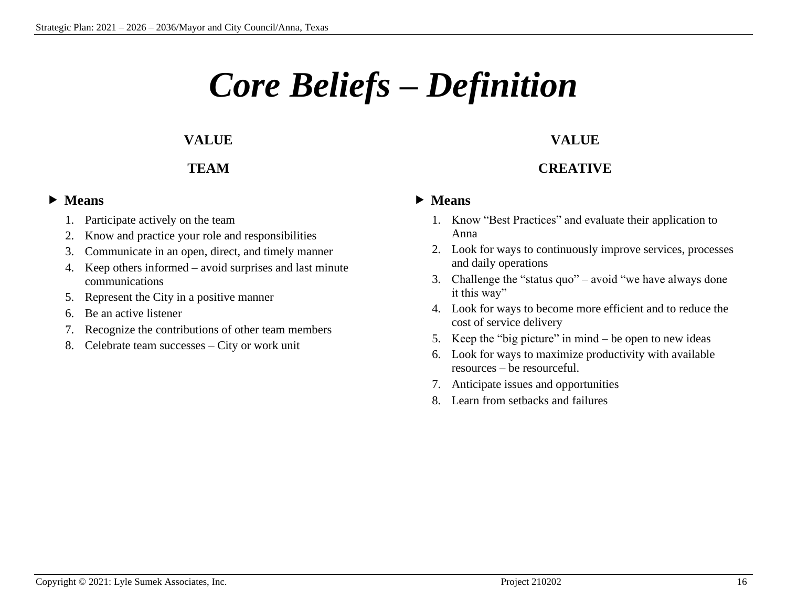# *Core Beliefs – Definition*

#### **VALUE**

#### **TEAM**

#### **Means**

- 1. Participate actively on the team
- 2. Know and practice your role and responsibilities
- 3. Communicate in an open, direct, and timely manner
- 4. Keep others informed avoid surprises and last minute communications
- 5. Represent the City in a positive manner
- 6. Be an active listener
- 7. Recognize the contributions of other team members
- 8. Celebrate team successes City or work unit

#### **VALUE**

#### **CREATIVE**

- 1. Know "Best Practices" and evaluate their application to Anna
- 2. Look for ways to continuously improve services, processes and daily operations
- 3. Challenge the "status quo" avoid "we have always done it this way"
- 4. Look for ways to become more efficient and to reduce the cost of service delivery
- 5. Keep the "big picture" in mind be open to new ideas
- 6. Look for ways to maximize productivity with available resources – be resourceful.
- 7. Anticipate issues and opportunities
- 8. Learn from setbacks and failures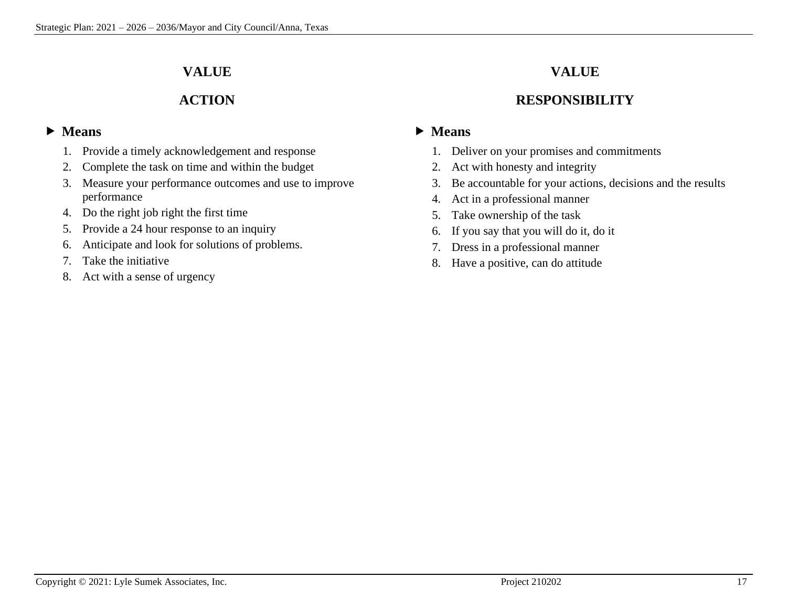#### **VALUE**

#### **ACTION**

#### **Means**

- 1. Provide a timely acknowledgement and response
- 2. Complete the task on time and within the budget
- 3. Measure your performance outcomes and use to improve performance
- 4. Do the right job right the first time
- 5. Provide a 24 hour response to an inquiry
- 6. Anticipate and look for solutions of problems.
- 7. Take the initiative
- 8. Act with a sense of urgency

### **VALUE**

#### **RESPONSIBILITY**

- 1. Deliver on your promises and commitments
- 2. Act with honesty and integrity
- 3. Be accountable for your actions, decisions and the results
- 4. Act in a professional manner
- 5. Take ownership of the task
- 6. If you say that you will do it, do it
- 7. Dress in a professional manner
- 8. Have a positive, can do attitude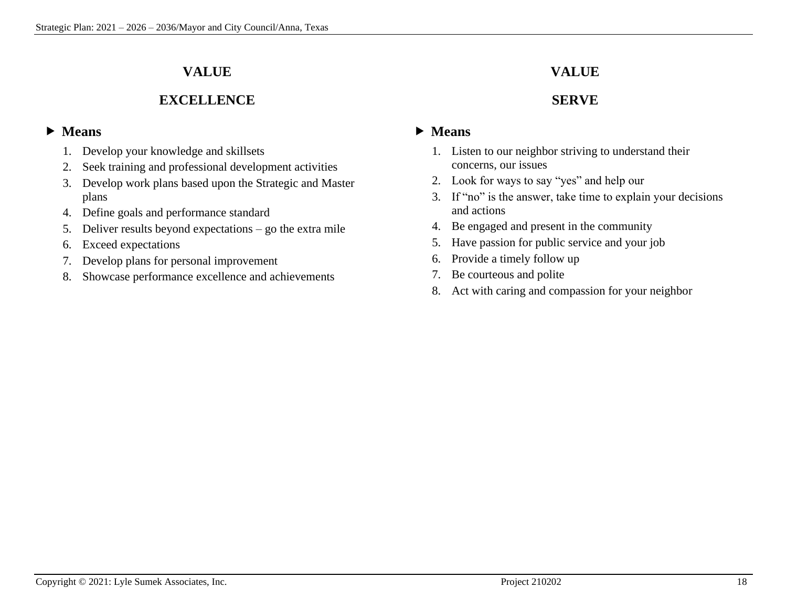#### **VALUE**

#### **EXCELLENCE**

#### **Means**

- 1. Develop your knowledge and skillsets
- 2. Seek training and professional development activities
- 3. Develop work plans based upon the Strategic and Master plans
- 4. Define goals and performance standard
- 5. Deliver results beyond expectations go the extra mile
- 6. Exceed expectations
- 7. Develop plans for personal improvement
- 8. Showcase performance excellence and achievements

#### **VALUE**

#### **SERVE**

- 1. Listen to our neighbor striving to understand their concerns, our issues
- 2. Look for ways to say "yes" and help our
- 3. If "no" is the answer, take time to explain your decisions and actions
- 4. Be engaged and present in the community
- 5. Have passion for public service and your job
- 6. Provide a timely follow up
- 7. Be courteous and polite
- 8. Act with caring and compassion for your neighbor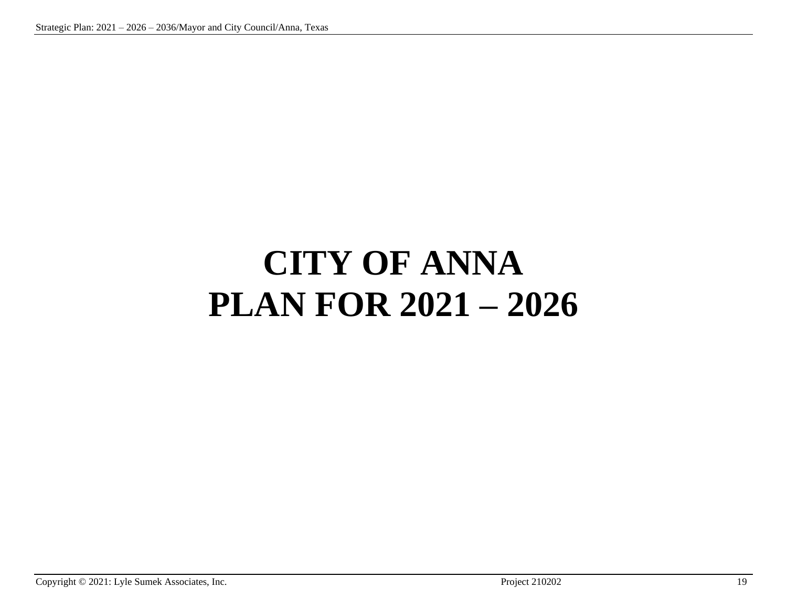# **CITY OF ANNA PLAN FOR 2021 – 2026**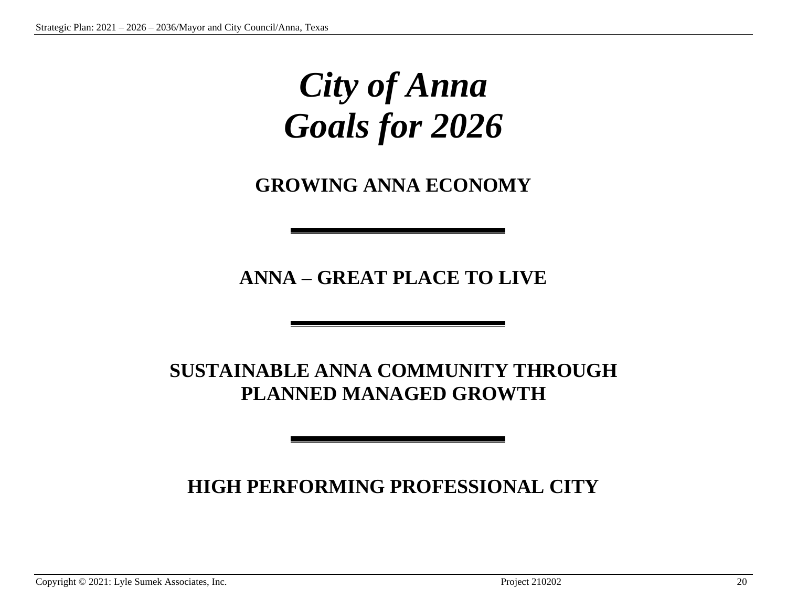## *City of Anna Goals for 2026*

**GROWING ANNA ECONOMY**

**ANNA – GREAT PLACE TO LIVE**

### **SUSTAINABLE ANNA COMMUNITY THROUGH PLANNED MANAGED GROWTH**

### **HIGH PERFORMING PROFESSIONAL CITY**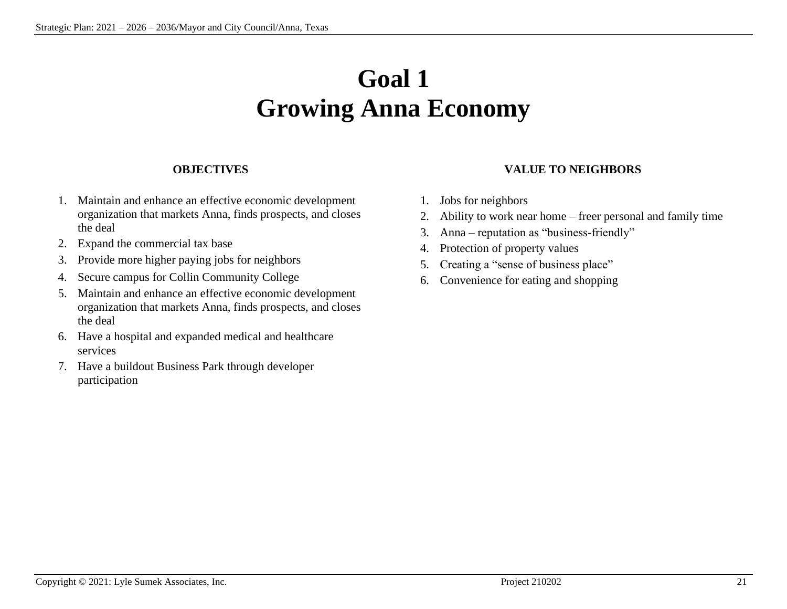## **Goal 1 Growing Anna Economy**

#### **OBJECTIVES**

- 1. Maintain and enhance an effective economic development organization that markets Anna, finds prospects, and closes the deal
- 2. Expand the commercial tax base
- 3. Provide more higher paying jobs for neighbors
- 4. Secure campus for Collin Community College
- 5. Maintain and enhance an effective economic development organization that markets Anna, finds prospects, and closes the deal
- 6. Have a hospital and expanded medical and healthcare services
- 7. Have a buildout Business Park through developer participation

#### **VALUE TO NEIGHBORS**

- 1. Jobs for neighbors
- 2. Ability to work near home freer personal and family time
- 3. Anna reputation as "business-friendly"
- 4. Protection of property values
- 5. Creating a "sense of business place"
- 6. Convenience for eating and shopping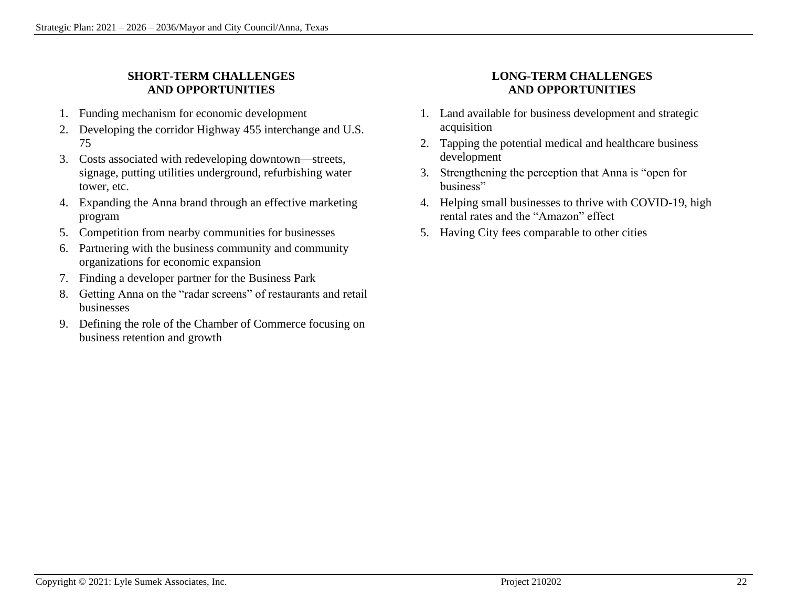#### **SHORT-TERM CHALLENGES AND OPPORTUNITIES**

- 1. Funding mechanism for economic development
- 2. Developing the corridor Highway 455 interchange and U.S. 75
- 3. Costs associated with redeveloping downtown—streets, signage, putting utilities underground, refurbishing water tower, etc.
- 4. Expanding the Anna brand through an effective marketing program
- 5. Competition from nearby communities for businesses
- 6. Partnering with the business community and community organizations for economic expansion
- 7. Finding a developer partner for the Business Park
- 8. Getting Anna on the "radar screens" of restaurants and retail businesses
- 9. Defining the role of the Chamber of Commerce focusing on business retention and growth

#### **LONG-TERM CHALLENGES AND OPPORTUNITIES**

- 1. Land available for business development and strategic acquisition
- 2. Tapping the potential medical and healthcare business development
- 3. Strengthening the perception that Anna is "open for business"
- 4. Helping small businesses to thrive with COVID-19, high rental rates and the "Amazon" effect
- 5. Having City fees comparable to other cities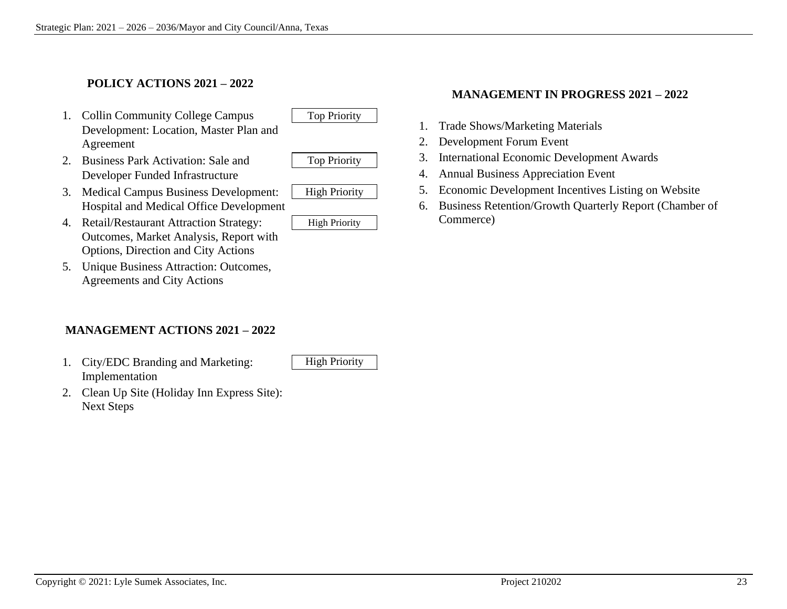#### **POLICY ACTIONS 2021 – 2022**

- 1. Collin Community College Campus | Top Priority Development: Location, Master Plan and Agreement
- 2. Business Park Activation: Sale and Top Priority Developer Funded Infrastructure



- 3. Medical Campus Business Development: | High Priority Hospital and Medical Office Development
- 4. Retail/Restaurant Attraction Strategy: High Priority Outcomes, Market Analysis, Report with Options, Direction and City Actions
- 5. Unique Business Attraction: Outcomes, Agreements and City Actions

#### **MANAGEMENT ACTIONS 2021 – 2022**

1. City/EDC Branding and Marketing: High Priority Implementation

2. Clean Up Site (Holiday Inn Express Site): Next Steps

#### **MANAGEMENT IN PROGRESS 2021 – 2022**

- 1. Trade Shows/Marketing Materials
- 2. Development Forum Event
- 3. International Economic Development Awards
- 4. Annual Business Appreciation Event
- 5. Economic Development Incentives Listing on Website
- 6. Business Retention/Growth Quarterly Report (Chamber of Commerce)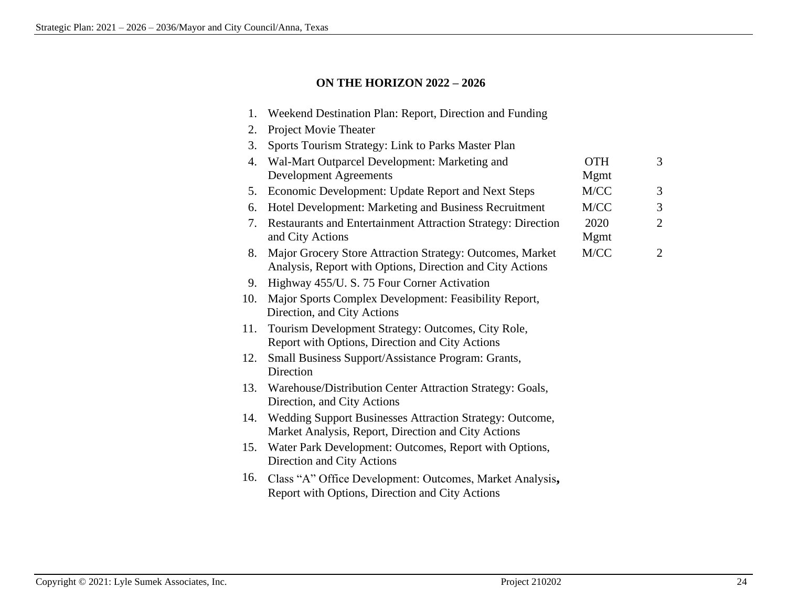#### **ON THE HORIZON 2022 – 2026**

| 1.  | Weekend Destination Plan: Report, Direction and Funding                                                                |                     |                |
|-----|------------------------------------------------------------------------------------------------------------------------|---------------------|----------------|
| 2.  | Project Movie Theater                                                                                                  |                     |                |
| 3.  | Sports Tourism Strategy: Link to Parks Master Plan                                                                     |                     |                |
| 4.  | Wal-Mart Outparcel Development: Marketing and<br><b>Development Agreements</b>                                         | <b>OTH</b><br>Mgmt  | 3              |
| 5.  | Economic Development: Update Report and Next Steps                                                                     | M/CC                | 3              |
| 6.  | Hotel Development: Marketing and Business Recruitment                                                                  | M/CC                | 3              |
| 7.  | Restaurants and Entertainment Attraction Strategy: Direction<br>and City Actions                                       | 2020<br><b>Mgmt</b> | $\overline{2}$ |
| 8.  | Major Grocery Store Attraction Strategy: Outcomes, Market<br>Analysis, Report with Options, Direction and City Actions | M/CC                | $\overline{2}$ |
| 9.  | Highway 455/U. S. 75 Four Corner Activation                                                                            |                     |                |
| 10. | Major Sports Complex Development: Feasibility Report,<br>Direction, and City Actions                                   |                     |                |
| 11. | Tourism Development Strategy: Outcomes, City Role,<br>Report with Options, Direction and City Actions                  |                     |                |
| 12. | Small Business Support/Assistance Program: Grants,<br>Direction                                                        |                     |                |
| 13. | Warehouse/Distribution Center Attraction Strategy: Goals,<br>Direction, and City Actions                               |                     |                |
| 14. | Wedding Support Businesses Attraction Strategy: Outcome,<br>Market Analysis, Report, Direction and City Actions        |                     |                |
| 15. | Water Park Development: Outcomes, Report with Options,<br>Direction and City Actions                                   |                     |                |
| 16. | Class "A" Office Development: Outcomes, Market Analysis,<br>Report with Options, Direction and City Actions            |                     |                |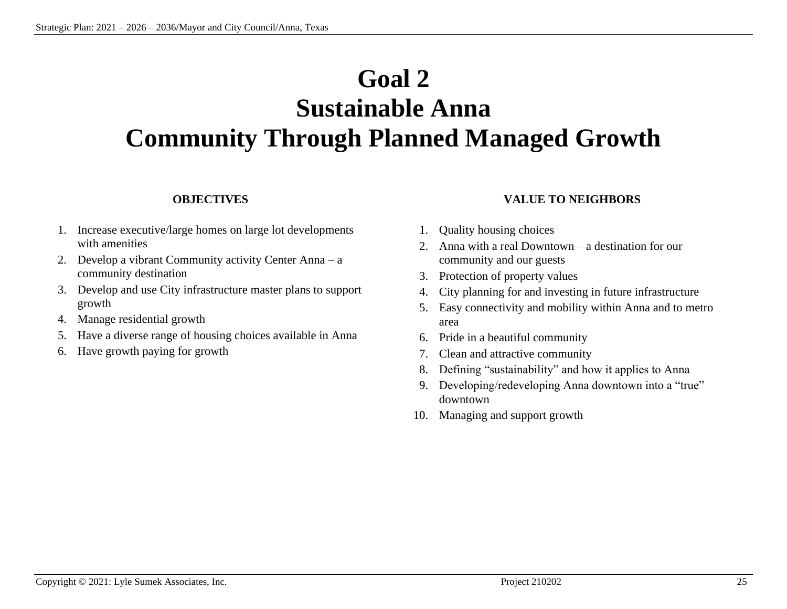## **Goal 2**

### **Sustainable Anna Community Through Planned Managed Growth**

#### **OBJECTIVES**

- 1. Increase executive/large homes on large lot developments with amenities
- 2. Develop a vibrant Community activity Center Anna a community destination
- 3. Develop and use City infrastructure master plans to support growth
- 4. Manage residential growth
- 5. Have a diverse range of housing choices available in Anna
- 6. Have growth paying for growth

#### **VALUE TO NEIGHBORS**

- 1. Quality housing choices
- 2. Anna with a real Downtown a destination for our community and our guests
- 3. Protection of property values
- 4. City planning for and investing in future infrastructure
- 5. Easy connectivity and mobility within Anna and to metro area
- 6. Pride in a beautiful community
- 7. Clean and attractive community
- 8. Defining "sustainability" and how it applies to Anna
- 9. Developing/redeveloping Anna downtown into a "true" downtown
- 10. Managing and support growth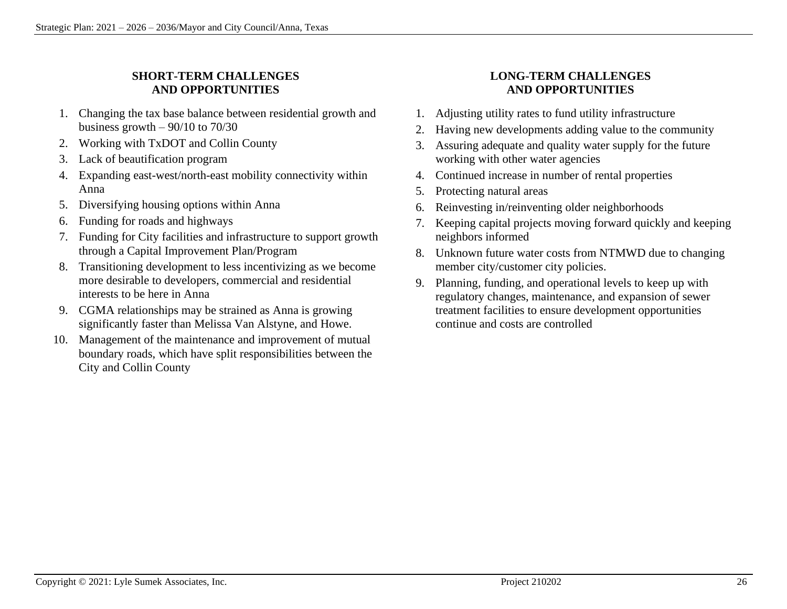#### **SHORT-TERM CHALLENGES AND OPPORTUNITIES**

- 1. Changing the tax base balance between residential growth and business growth  $-90/10$  to  $70/30$
- 2. Working with TxDOT and Collin County
- 3. Lack of beautification program
- 4. Expanding east-west/north-east mobility connectivity within Anna
- 5. Diversifying housing options within Anna
- 6. Funding for roads and highways
- 7. Funding for City facilities and infrastructure to support growth through a Capital Improvement Plan/Program
- 8. Transitioning development to less incentivizing as we become more desirable to developers, commercial and residential interests to be here in Anna
- 9. CGMA relationships may be strained as Anna is growing significantly faster than Melissa Van Alstyne, and Howe.
- 10. Management of the maintenance and improvement of mutual boundary roads, which have split responsibilities between the City and Collin County

#### **LONG-TERM CHALLENGES AND OPPORTUNITIES**

- 1. Adjusting utility rates to fund utility infrastructure
- 2. Having new developments adding value to the community
- 3. Assuring adequate and quality water supply for the future working with other water agencies
- 4. Continued increase in number of rental properties
- 5. Protecting natural areas
- 6. Reinvesting in/reinventing older neighborhoods
- 7. Keeping capital projects moving forward quickly and keeping neighbors informed
- 8. Unknown future water costs from NTMWD due to changing member city/customer city policies.
- 9. Planning, funding, and operational levels to keep up with regulatory changes, maintenance, and expansion of sewer treatment facilities to ensure development opportunities continue and costs are controlled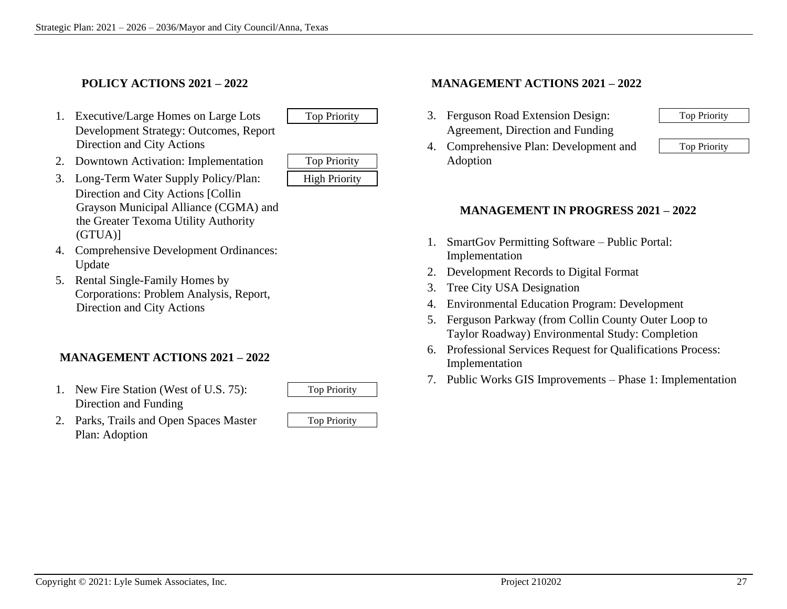#### **POLICY ACTIONS 2021 – 2022**

1. Executive/Large Homes on Large Lots Top Priority Development Strategy: Outcomes, Report Direction and City Actions

| <b>Top Priority</b>  |  |
|----------------------|--|
| <b>High Priority</b> |  |

- 2. Downtown Activation: Implementation
- 3. Long-Term Water Supply Policy/Plan: Direction and City Actions [Collin Grayson Municipal Alliance (CGMA) and the Greater Texoma Utility Authority (GTUA)]
- 4. Comprehensive Development Ordinances: Update
- 5. Rental Single-Family Homes by Corporations: Problem Analysis, Report, Direction and City Actions

#### **MANAGEMENT ACTIONS 2021 – 2022**

- 1. New Fire Station (West of U.S. 75): Direction and Funding
- 2. Parks, Trails and Open Spaces Master Top Priority Plan: Adoption

#### **MANAGEMENT ACTIONS 2021 – 2022**

- 3. Ferguson Road Extension Design: Top Priority Agreement, Direction and Funding
- 4. Comprehensive Plan: Development and Top Priority Adoption

#### **MANAGEMENT IN PROGRESS 2021 – 2022**

- 1. SmartGov Permitting Software Public Portal: Implementation
- 2. Development Records to Digital Format
- 3. Tree City USA Designation
- 4. Environmental Education Program: Development
- 5. Ferguson Parkway (from Collin County Outer Loop to Taylor Roadway) Environmental Study: Completion
- 6. Professional Services Request for Qualifications Process: Implementation
- 7. Public Works GIS Improvements Phase 1: Implementation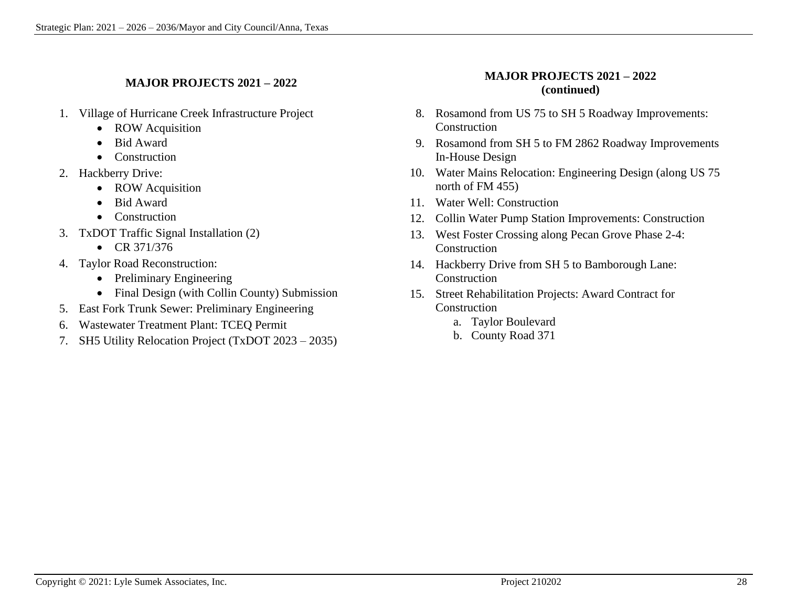#### **MAJOR PROJECTS 2021 – 2022**

- 1. Village of Hurricane Creek Infrastructure Project
	- ROW Acquisition
	- Bid Award
	- Construction
- 2. Hackberry Drive:
	- ROW Acquisition
	- Bid Award
	- Construction
- 3. TxDOT Traffic Signal Installation (2)
	- CR 371/376
- 4. Taylor Road Reconstruction:
	- Preliminary Engineering
	- Final Design (with Collin County) Submission
- 5. East Fork Trunk Sewer: Preliminary Engineering
- 6. Wastewater Treatment Plant: TCEQ Permit
- 7. SH5 Utility Relocation Project (TxDOT 2023 2035)

#### **MAJOR PROJECTS 2021 – 2022 (continued)**

- 8. Rosamond from US 75 to SH 5 Roadway Improvements: **Construction**
- 9. Rosamond from SH 5 to FM 2862 Roadway Improvements In-House Design
- 10. Water Mains Relocation: Engineering Design (along US 75 north of FM 455)
- 11. Water Well: Construction
- 12. Collin Water Pump Station Improvements: Construction
- 13. West Foster Crossing along Pecan Grove Phase 2-4: Construction
- 14. Hackberry Drive from SH 5 to Bamborough Lane: **Construction**
- 15. Street Rehabilitation Projects: Award Contract for **Construction** 
	- a. Taylor Boulevard
	- b. County Road 371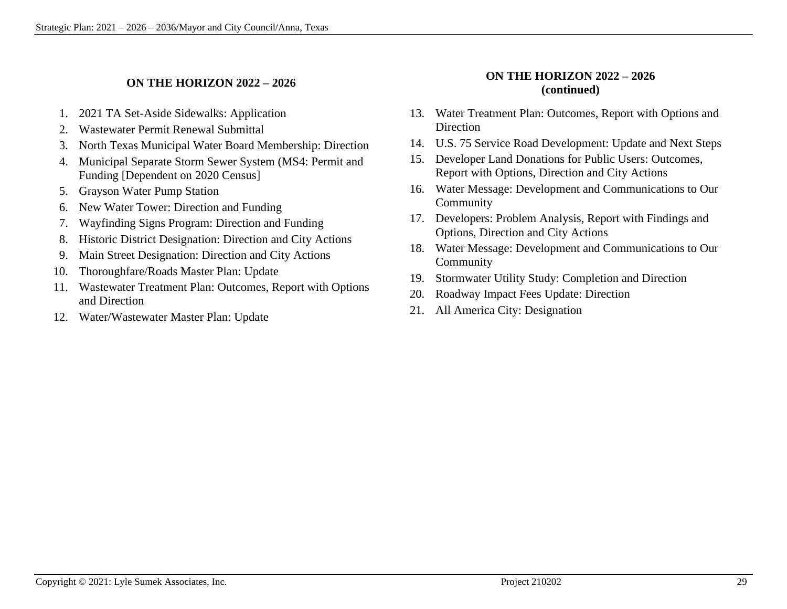#### **ON THE HORIZON 2022 – 2026**

- 1. 2021 TA Set-Aside Sidewalks: Application
- 2. Wastewater Permit Renewal Submittal
- 3. North Texas Municipal Water Board Membership: Direction
- 4. Municipal Separate Storm Sewer System (MS4: Permit and Funding [Dependent on 2020 Census]
- 5. Grayson Water Pump Station
- 6. New Water Tower: Direction and Funding
- 7. Wayfinding Signs Program: Direction and Funding
- 8. Historic District Designation: Direction and City Actions
- 9. Main Street Designation: Direction and City Actions
- 10. Thoroughfare/Roads Master Plan: Update
- 11. Wastewater Treatment Plan: Outcomes, Report with Options and Direction
- 12. Water/Wastewater Master Plan: Update

#### **ON THE HORIZON 2022 – 2026 (continued)**

- 13. Water Treatment Plan: Outcomes, Report with Options and **Direction**
- 14. U.S. 75 Service Road Development: Update and Next Steps
- 15. Developer Land Donations for Public Users: Outcomes, Report with Options, Direction and City Actions
- 16. Water Message: Development and Communications to Our Community
- 17. Developers: Problem Analysis, Report with Findings and Options, Direction and City Actions
- 18. Water Message: Development and Communications to Our Community
- 19. Stormwater Utility Study: Completion and Direction
- 20. Roadway Impact Fees Update: Direction
- 21. All America City: Designation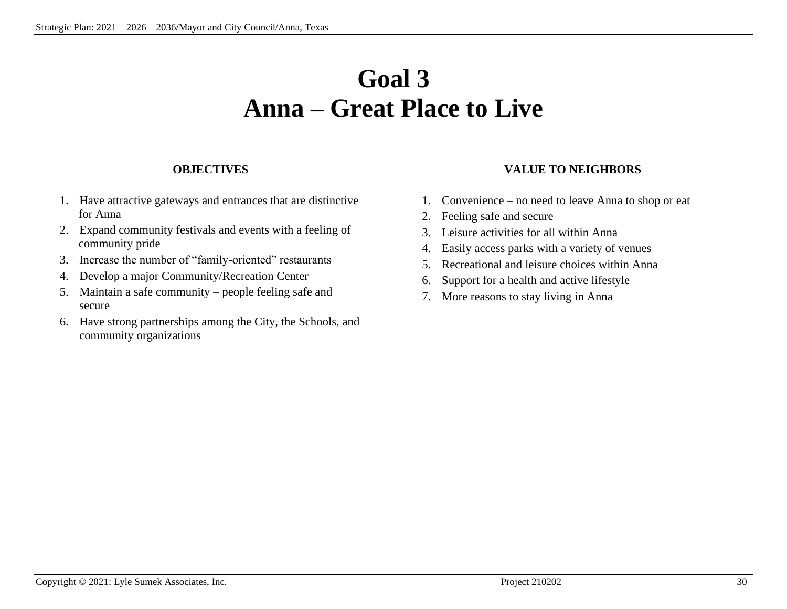### **Goal 3 Anna – Great Place to Live**

#### **OBJECTIVES**

- 1. Have attractive gateways and entrances that are distinctive for Anna
- 2. Expand community festivals and events with a feeling of community pride
- 3. Increase the number of "family-oriented" restaurants
- 4. Develop a major Community/Recreation Center
- 5. Maintain a safe community people feeling safe and secure
- 6. Have strong partnerships among the City, the Schools, and community organizations

#### **VALUE TO NEIGHBORS**

- 1. Convenience no need to leave Anna to shop or eat
- 2. Feeling safe and secure
- 3. Leisure activities for all within Anna
- 4. Easily access parks with a variety of venues
- 5. Recreational and leisure choices within Anna
- 6. Support for a health and active lifestyle
- 7. More reasons to stay living in Anna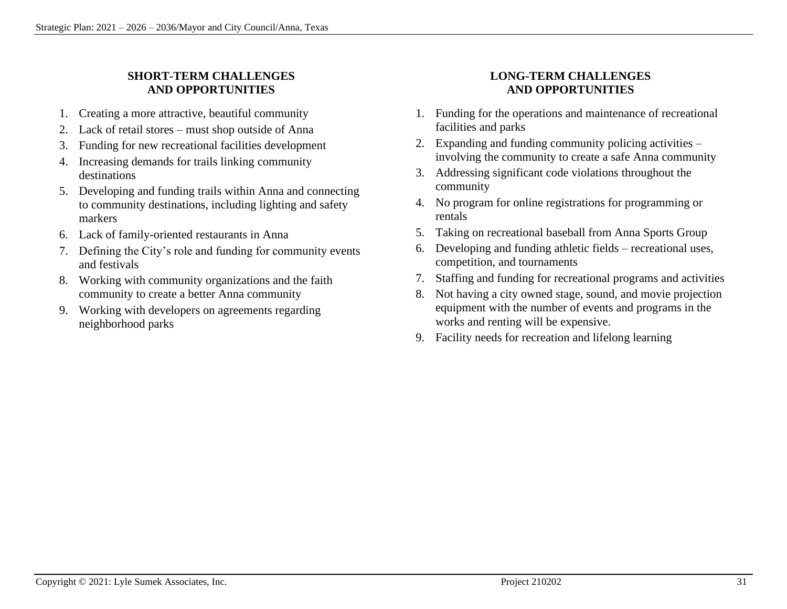#### **SHORT-TERM CHALLENGES AND OPPORTUNITIES**

- 1. Creating a more attractive, beautiful community
- 2. Lack of retail stores must shop outside of Anna
- 3. Funding for new recreational facilities development
- 4. Increasing demands for trails linking community destinations
- 5. Developing and funding trails within Anna and connecting to community destinations, including lighting and safety markers
- 6. Lack of family-oriented restaurants in Anna
- 7. Defining the City's role and funding for community events and festivals
- 8. Working with community organizations and the faith community to create a better Anna community
- 9. Working with developers on agreements regarding neighborhood parks

#### **LONG-TERM CHALLENGES AND OPPORTUNITIES**

- 1. Funding for the operations and maintenance of recreational facilities and parks
- 2. Expanding and funding community policing activities involving the community to create a safe Anna community
- 3. Addressing significant code violations throughout the community
- 4. No program for online registrations for programming or rentals
- 5. Taking on recreational baseball from Anna Sports Group
- 6. Developing and funding athletic fields recreational uses, competition, and tournaments
- 7. Staffing and funding for recreational programs and activities
- 8. Not having a city owned stage, sound, and movie projection equipment with the number of events and programs in the works and renting will be expensive.
- 9. Facility needs for recreation and lifelong learning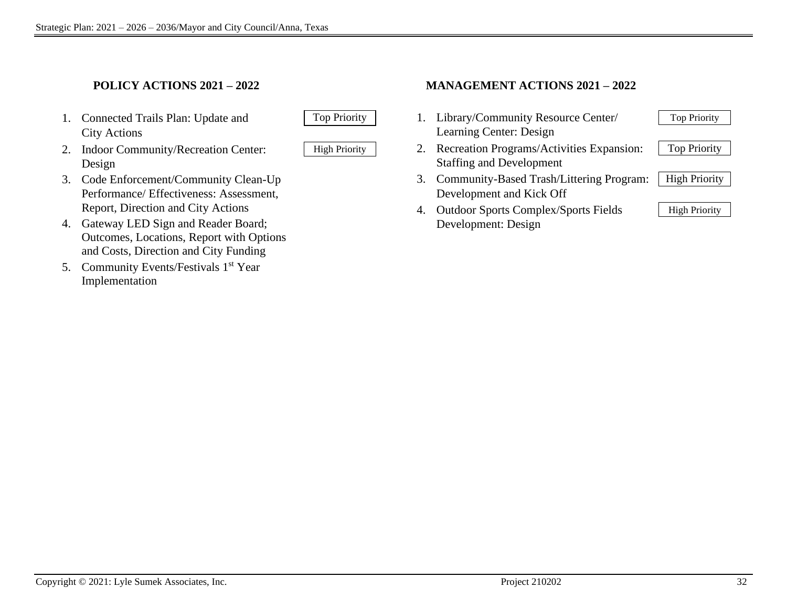#### **POLICY ACTIONS 2021 – 2022**

- 1. Connected Trails Plan: Update and Top Priority City Actions
- 2. Indoor Community/Recreation Center: | High Priority Design
- 3. Code Enforcement/Community Clean-Up Performance/ Effectiveness: Assessment, Report, Direction and City Actions
- 4. Gateway LED Sign and Reader Board; Outcomes, Locations, Report with Options and Costs, Direction and City Funding
- 5. Community Events/Festivals 1<sup>st</sup> Year Implementation



#### **MANAGEMENT ACTIONS 2021 – 2022**

- 1. Library/Community Resource Center/ Learning Center: Design
- 2. Recreation Programs/Activities Expansion: Staffing and Development
- 3. Community-Based Trash/Littering Program: Development and Kick Off
- 4. Outdoor Sports Complex/Sports Fields | High Priority Development: Design

| <b>Top Priority</b>  |
|----------------------|
| <b>Top Priority</b>  |
| <b>High Priority</b> |
|                      |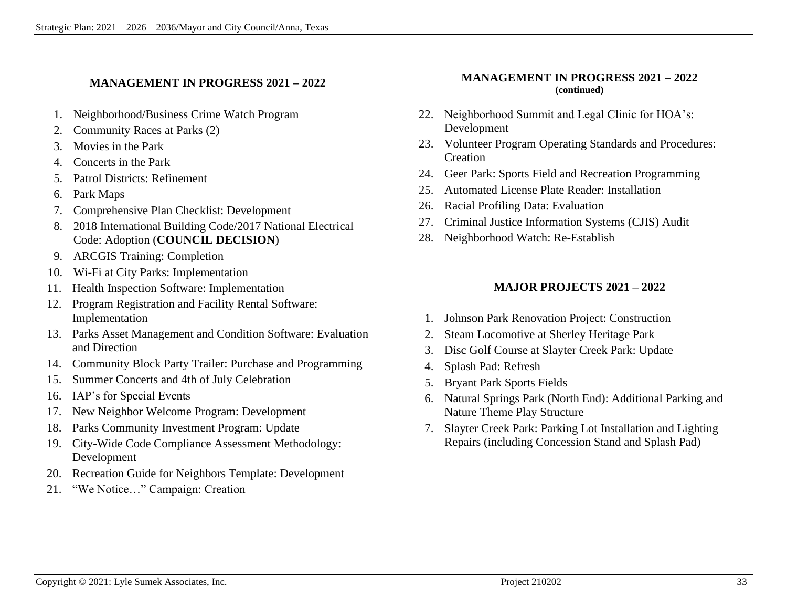#### **MANAGEMENT IN PROGRESS 2021 – 2022**

- 1. Neighborhood/Business Crime Watch Program
- 2. Community Races at Parks (2)
- 3. Movies in the Park
- 4. Concerts in the Park
- 5. Patrol Districts: Refinement
- 6. Park Maps
- 7. Comprehensive Plan Checklist: Development
- 8. 2018 International Building Code/2017 National Electrical Code: Adoption (**COUNCIL DECISION**)
- 9. ARCGIS Training: Completion
- 10. Wi-Fi at City Parks: Implementation
- 11. Health Inspection Software: Implementation
- 12. Program Registration and Facility Rental Software: Implementation
- 13. Parks Asset Management and Condition Software: Evaluation and Direction
- 14. Community Block Party Trailer: Purchase and Programming
- 15. Summer Concerts and 4th of July Celebration
- 16. IAP's for Special Events
- 17. New Neighbor Welcome Program: Development
- 18. Parks Community Investment Program: Update
- 19. City-Wide Code Compliance Assessment Methodology: Development
- 20. Recreation Guide for Neighbors Template: Development
- 21. "We Notice…" Campaign: Creation

#### **MANAGEMENT IN PROGRESS 2021 – 2022 (continued)**

- 22. Neighborhood Summit and Legal Clinic for HOA's: Development
- 23. Volunteer Program Operating Standards and Procedures: Creation
- 24. Geer Park: Sports Field and Recreation Programming
- 25. Automated License Plate Reader: Installation
- 26. Racial Profiling Data: Evaluation
- 27. Criminal Justice Information Systems (CJIS) Audit
- 28. Neighborhood Watch: Re-Establish

#### **MAJOR PROJECTS 2021 – 2022**

- 1. Johnson Park Renovation Project: Construction
- 2. Steam Locomotive at Sherley Heritage Park
- 3. Disc Golf Course at Slayter Creek Park: Update
- 4. Splash Pad: Refresh
- 5. Bryant Park Sports Fields
- 6. Natural Springs Park (North End): Additional Parking and Nature Theme Play Structure
- 7. Slayter Creek Park: Parking Lot Installation and Lighting Repairs (including Concession Stand and Splash Pad)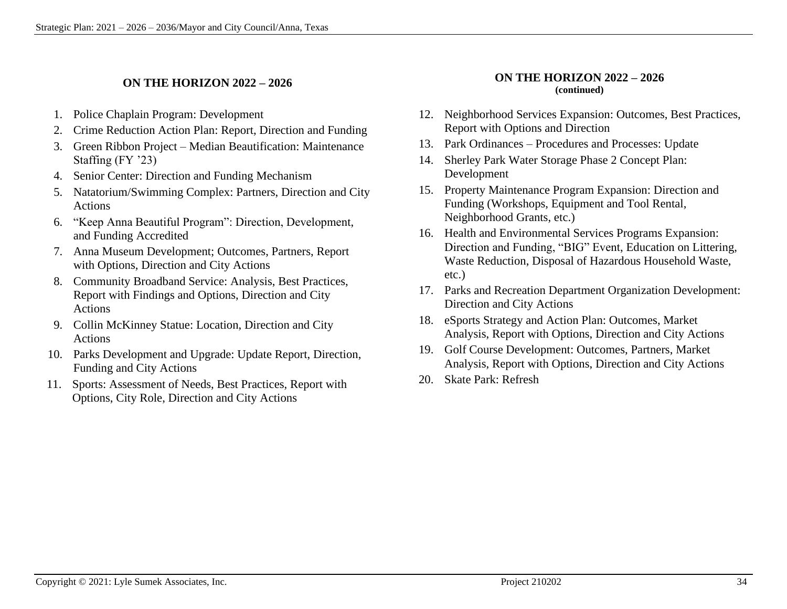#### **ON THE HORIZON 2022 – 2026**

- 1. Police Chaplain Program: Development
- 2. Crime Reduction Action Plan: Report, Direction and Funding
- 3. Green Ribbon Project Median Beautification: Maintenance Staffing (FY '23)
- 4. Senior Center: Direction and Funding Mechanism
- 5. Natatorium/Swimming Complex: Partners, Direction and City Actions
- 6. "Keep Anna Beautiful Program": Direction, Development, and Funding Accredited
- 7. Anna Museum Development; Outcomes, Partners, Report with Options, Direction and City Actions
- 8. Community Broadband Service: Analysis, Best Practices, Report with Findings and Options, Direction and City Actions
- 9. Collin McKinney Statue: Location, Direction and City Actions
- 10. Parks Development and Upgrade: Update Report, Direction, Funding and City Actions
- 11. Sports: Assessment of Needs, Best Practices, Report with Options, City Role, Direction and City Actions

#### **ON THE HORIZON 2022 – 2026 (continued)**

- 12. Neighborhood Services Expansion: Outcomes, Best Practices, Report with Options and Direction
- 13. Park Ordinances Procedures and Processes: Update
- 14. Sherley Park Water Storage Phase 2 Concept Plan: Development
- 15. Property Maintenance Program Expansion: Direction and Funding (Workshops, Equipment and Tool Rental, Neighborhood Grants, etc.)
- 16. Health and Environmental Services Programs Expansion: Direction and Funding, "BIG" Event, Education on Littering, Waste Reduction, Disposal of Hazardous Household Waste, etc.)
- 17. Parks and Recreation Department Organization Development: Direction and City Actions
- 18. eSports Strategy and Action Plan: Outcomes, Market Analysis, Report with Options, Direction and City Actions
- 19. Golf Course Development: Outcomes, Partners, Market Analysis, Report with Options, Direction and City Actions
- 20. Skate Park: Refresh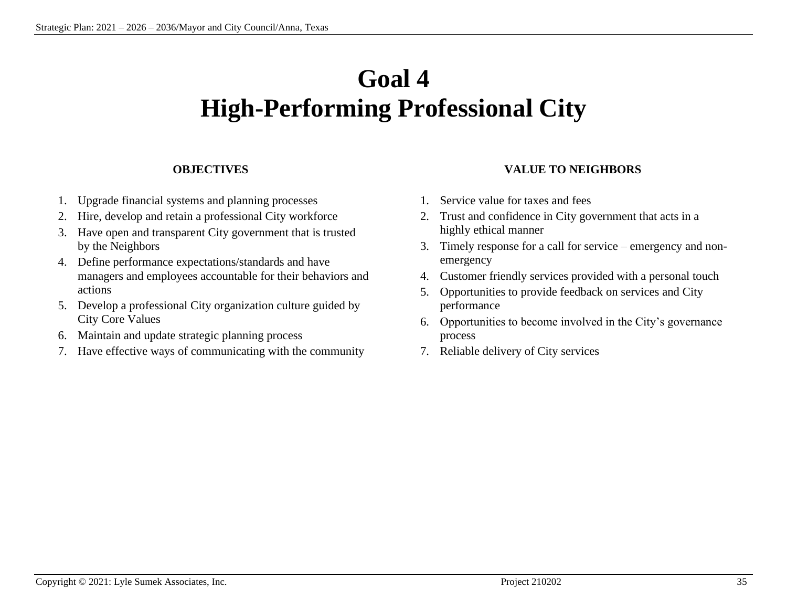## **Goal 4 High-Performing Professional City**

#### **OBJECTIVES**

- 1. Upgrade financial systems and planning processes
- 2. Hire, develop and retain a professional City workforce
- 3. Have open and transparent City government that is trusted by the Neighbors
- 4. Define performance expectations/standards and have managers and employees accountable for their behaviors and actions
- 5. Develop a professional City organization culture guided by City Core Values
- 6. Maintain and update strategic planning process
- 7. Have effective ways of communicating with the community

#### **VALUE TO NEIGHBORS**

- 1. Service value for taxes and fees
- 2. Trust and confidence in City government that acts in a highly ethical manner
- 3. Timely response for a call for service emergency and nonemergency
- 4. Customer friendly services provided with a personal touch
- 5. Opportunities to provide feedback on services and City performance
- 6. Opportunities to become involved in the City's governance process
- 7. Reliable delivery of City services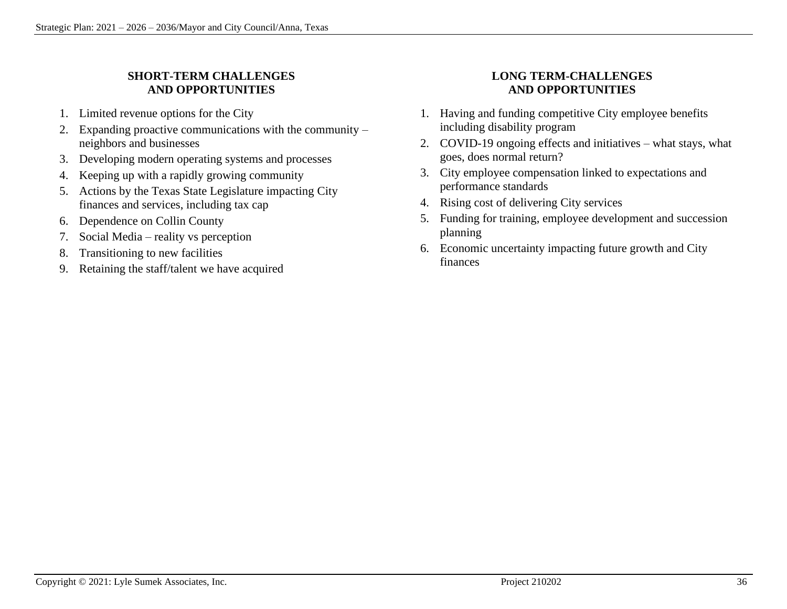#### **SHORT-TERM CHALLENGES AND OPPORTUNITIES**

- 1. Limited revenue options for the City
- 2. Expanding proactive communications with the community neighbors and businesses
- 3. Developing modern operating systems and processes
- 4. Keeping up with a rapidly growing community
- 5. Actions by the Texas State Legislature impacting City finances and services, including tax cap
- 6. Dependence on Collin County
- 7. Social Media reality vs perception
- 8. Transitioning to new facilities
- 9. Retaining the staff/talent we have acquired

#### **LONG TERM-CHALLENGES AND OPPORTUNITIES**

- 1. Having and funding competitive City employee benefits including disability program
- 2. COVID-19 ongoing effects and initiatives what stays, what goes, does normal return?
- 3. City employee compensation linked to expectations and performance standards
- 4. Rising cost of delivering City services
- 5. Funding for training, employee development and succession planning
- 6. Economic uncertainty impacting future growth and City finances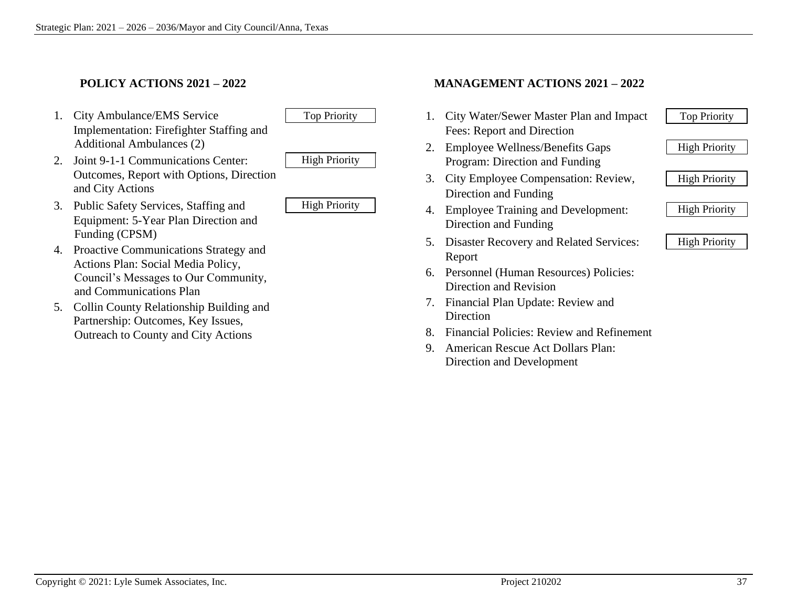#### **POLICY ACTIONS 2021 – 2022**

1. City Ambulance/EMS Service Top Priority Implementation: Firefighter Staffing and Additional Ambulances (2)



- 2. Joint 9-1-1 Communications Center: High Priority Outcomes, Report with Options, Direction and City Actions
	-
- 3. Public Safety Services, Staffing and High Priority Equipment: 5-Year Plan Direction and Funding (CPSM)
- 4. Proactive Communications Strategy and Actions Plan: Social Media Policy, Council's Messages to Our Community, and Communications Plan
- 5. Collin County Relationship Building and Partnership: Outcomes, Key Issues, Outreach to County and City Actions

#### **MANAGEMENT ACTIONS 2021 – 2022**

- 1. City Water/Sewer Master Plan and Impact Top Priority Fees: Report and Direction
- 2. Employee Wellness/Benefits Gaps High Priority Program: Direction and Funding
- 3. City Employee Compensation: Review, <br>High Priority Direction and Funding
- 4. Employee Training and Development: <br> | High Priority Direction and Funding
- 5. Disaster Recovery and Related Services: | High Priority Report
- 6. Personnel (Human Resources) Policies: Direction and Revision
- 7. Financial Plan Update: Review and Direction
- 8. Financial Policies: Review and Refinement
- 9. American Rescue Act Dollars Plan: Direction and Development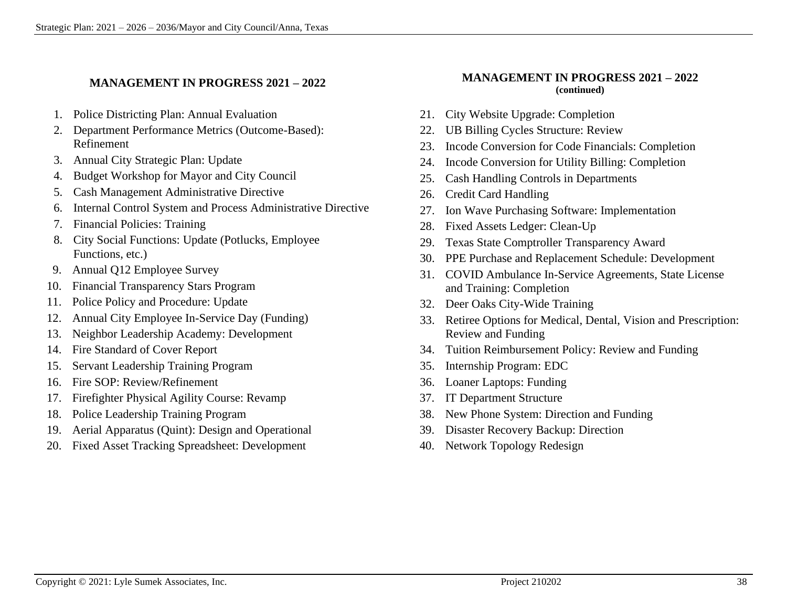#### **MANAGEMENT IN PROGRESS 2021 – 2022**

- 1. Police Districting Plan: Annual Evaluation
- 2. Department Performance Metrics (Outcome-Based): Refinement
- 3. Annual City Strategic Plan: Update
- 4. Budget Workshop for Mayor and City Council
- 5. Cash Management Administrative Directive
- 6. Internal Control System and Process Administrative Directive
- 7. Financial Policies: Training
- 8. City Social Functions: Update (Potlucks, Employee Functions, etc.)
- 9. Annual Q12 Employee Survey
- 10. Financial Transparency Stars Program
- 11. Police Policy and Procedure: Update
- 12. Annual City Employee In-Service Day (Funding)
- 13. Neighbor Leadership Academy: Development
- 14. Fire Standard of Cover Report
- 15. Servant Leadership Training Program
- 16. Fire SOP: Review/Refinement
- 17. Firefighter Physical Agility Course: Revamp
- 18. Police Leadership Training Program
- 19. Aerial Apparatus (Quint): Design and Operational
- 20. Fixed Asset Tracking Spreadsheet: Development

#### **MANAGEMENT IN PROGRESS 2021 – 2022 (continued)**

- 21. City Website Upgrade: Completion
- 22. UB Billing Cycles Structure: Review
- 23. Incode Conversion for Code Financials: Completion
- 24. Incode Conversion for Utility Billing: Completion
- 25. Cash Handling Controls in Departments
- 26. Credit Card Handling
- 27. Ion Wave Purchasing Software: Implementation
- 28. Fixed Assets Ledger: Clean-Up
- 29. Texas State Comptroller Transparency Award
- 30. PPE Purchase and Replacement Schedule: Development
- 31. COVID Ambulance In-Service Agreements, State License and Training: Completion
- 32. Deer Oaks City-Wide Training
- 33. Retiree Options for Medical, Dental, Vision and Prescription: Review and Funding
- 34. Tuition Reimbursement Policy: Review and Funding
- 35. Internship Program: EDC
- 36. Loaner Laptops: Funding
- 37. IT Department Structure
- 38. New Phone System: Direction and Funding
- 39. Disaster Recovery Backup: Direction
- 40. Network Topology Redesign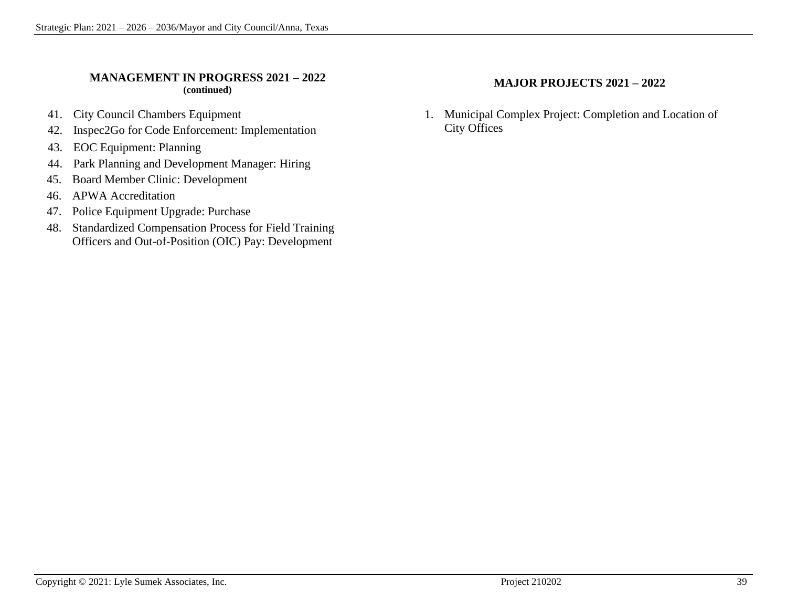#### **MANAGEMENT IN PROGRESS 2021 – 2022 (continued)**

- 41. City Council Chambers Equipment
- 42. Inspec2Go for Code Enforcement: Implementation
- 43. EOC Equipment: Planning
- 44. Park Planning and Development Manager: Hiring
- 45. Board Member Clinic: Development
- 46. APWA Accreditation
- 47. Police Equipment Upgrade: Purchase
- 48. Standardized Compensation Process for Field Training Officers and Out-of-Position (OIC) Pay: Development

#### **MAJOR PROJECTS 2021 – 2022**

1. Municipal Complex Project: Completion and Location of City Offices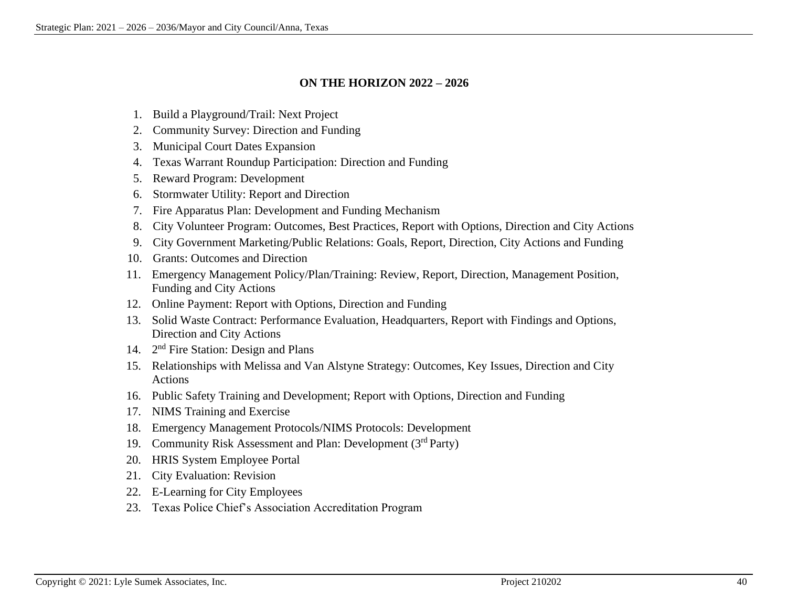#### **ON THE HORIZON 2022 – 2026**

- 1. Build a Playground/Trail: Next Project
- 2. Community Survey: Direction and Funding
- 3. Municipal Court Dates Expansion
- 4. Texas Warrant Roundup Participation: Direction and Funding
- 5. Reward Program: Development
- 6. Stormwater Utility: Report and Direction
- 7. Fire Apparatus Plan: Development and Funding Mechanism
- 8. City Volunteer Program: Outcomes, Best Practices, Report with Options, Direction and City Actions
- 9. City Government Marketing/Public Relations: Goals, Report, Direction, City Actions and Funding
- 10. Grants: Outcomes and Direction
- 11. Emergency Management Policy/Plan/Training: Review, Report, Direction, Management Position, Funding and City Actions
- 12. Online Payment: Report with Options, Direction and Funding
- 13. Solid Waste Contract: Performance Evaluation, Headquarters, Report with Findings and Options, Direction and City Actions
- 14. 2<sup>nd</sup> Fire Station: Design and Plans
- 15. Relationships with Melissa and Van Alstyne Strategy: Outcomes, Key Issues, Direction and City Actions
- 16. Public Safety Training and Development; Report with Options, Direction and Funding
- 17. NIMS Training and Exercise
- 18. Emergency Management Protocols/NIMS Protocols: Development
- 19. Community Risk Assessment and Plan: Development (3<sup>rd</sup> Party)
- 20. HRIS System Employee Portal
- 21. City Evaluation: Revision
- 22. E-Learning for City Employees
- 23. Texas Police Chief's Association Accreditation Program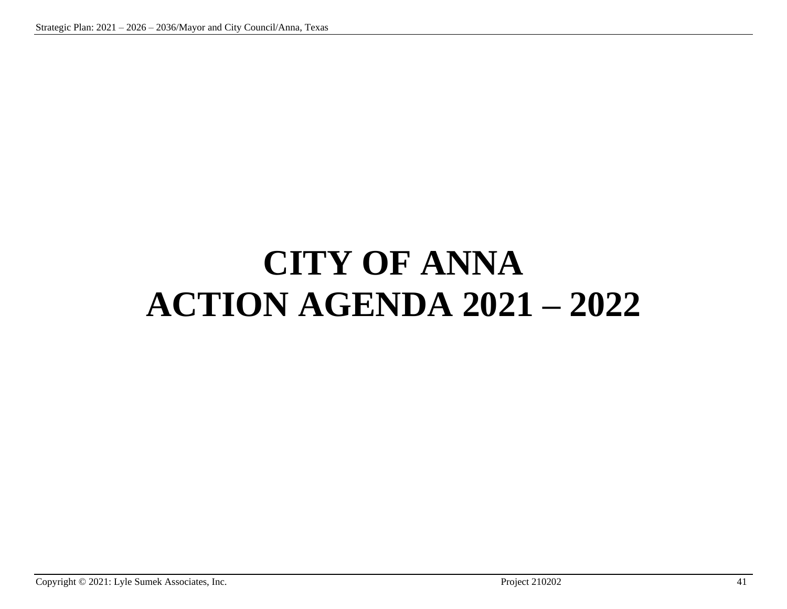# **CITY OF ANNA ACTION AGENDA 2021 – 2022**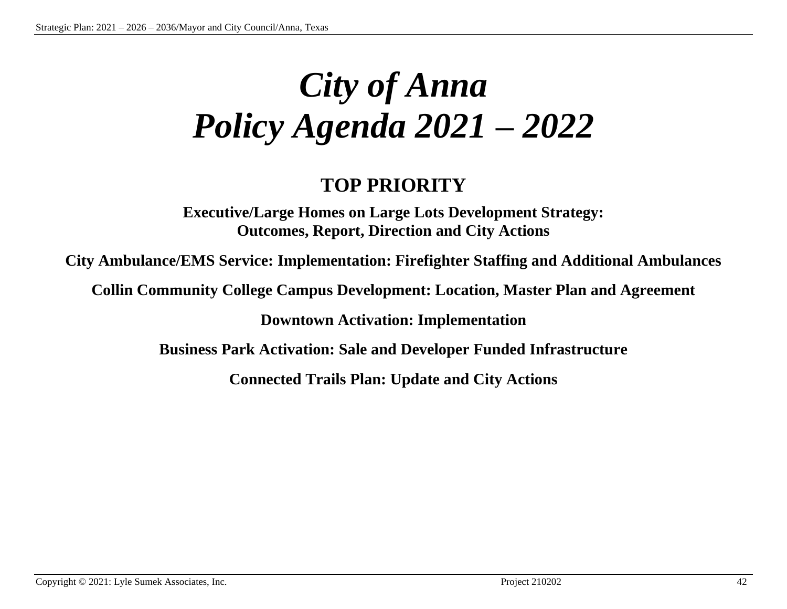# *City of Anna Policy Agenda 2021* **–** *2022*

### **TOP PRIORITY**

**Executive/Large Homes on Large Lots Development Strategy: Outcomes, Report, Direction and City Actions**

**City Ambulance/EMS Service: Implementation: Firefighter Staffing and Additional Ambulances**

**Collin Community College Campus Development: Location, Master Plan and Agreement**

**Downtown Activation: Implementation**

**Business Park Activation: Sale and Developer Funded Infrastructure**

**Connected Trails Plan: Update and City Actions**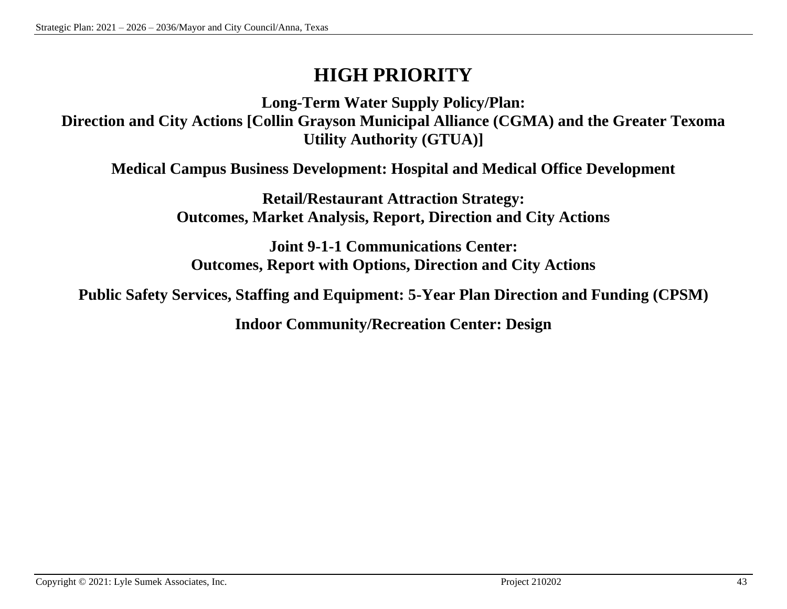### **HIGH PRIORITY**

**Long-Term Water Supply Policy/Plan: Direction and City Actions [Collin Grayson Municipal Alliance (CGMA) and the Greater Texoma Utility Authority (GTUA)]**

**Medical Campus Business Development: Hospital and Medical Office Development**

**Retail/Restaurant Attraction Strategy: Outcomes, Market Analysis, Report, Direction and City Actions**

**Joint 9-1-1 Communications Center: Outcomes, Report with Options, Direction and City Actions**

**Public Safety Services, Staffing and Equipment: 5-Year Plan Direction and Funding (CPSM)**

**Indoor Community/Recreation Center: Design**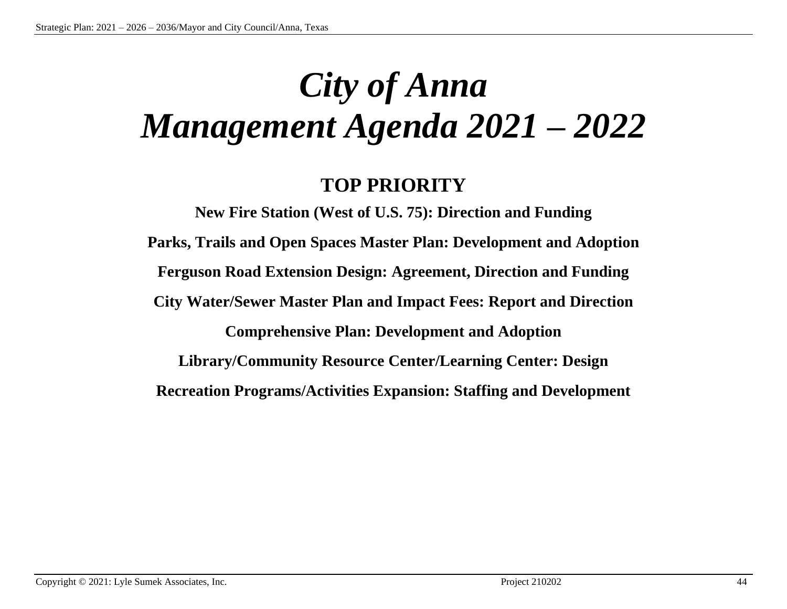# *City of Anna Management Agenda 2021* **–** *2022*

### **TOP PRIORITY**

**New Fire Station (West of U.S. 75): Direction and Funding Parks, Trails and Open Spaces Master Plan: Development and Adoption Ferguson Road Extension Design: Agreement, Direction and Funding City Water/Sewer Master Plan and Impact Fees: Report and Direction Comprehensive Plan: Development and Adoption Library/Community Resource Center/Learning Center: Design Recreation Programs/Activities Expansion: Staffing and Development**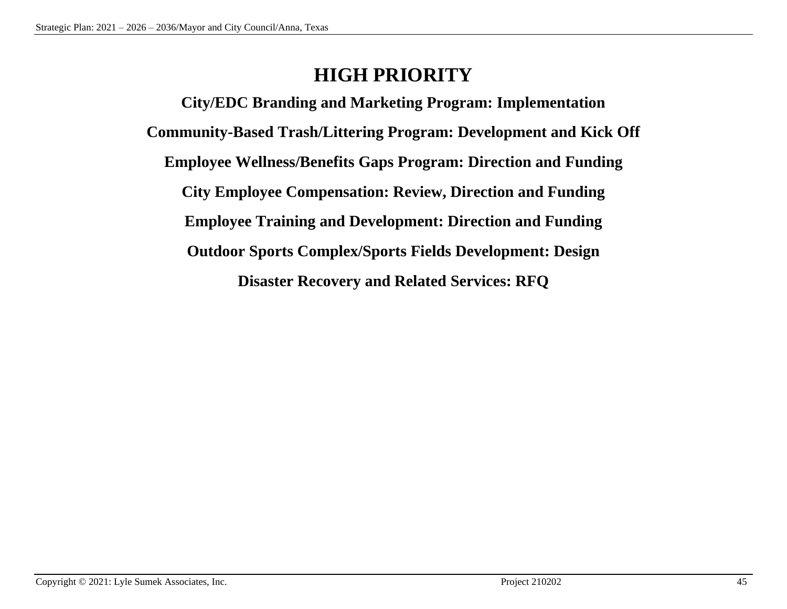### **HIGH PRIORITY**

**City/EDC Branding and Marketing Program: Implementation Community-Based Trash/Littering Program: Development and Kick Off Employee Wellness/Benefits Gaps Program: Direction and Funding City Employee Compensation: Review, Direction and Funding Employee Training and Development: Direction and Funding Outdoor Sports Complex/Sports Fields Development: Design Disaster Recovery and Related Services: RFQ**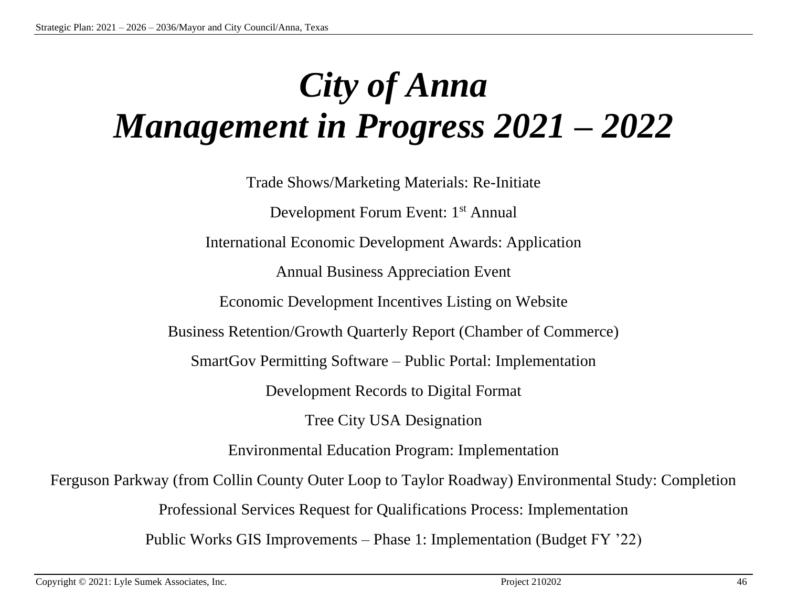# *City of Anna Management in Progress 2021* **–** *2022*

Trade Shows/Marketing Materials: Re-Initiate Development Forum Event: 1<sup>st</sup> Annual International Economic Development Awards: Application Annual Business Appreciation Event Economic Development Incentives Listing on Website Business Retention/Growth Quarterly Report (Chamber of Commerce) SmartGov Permitting Software – Public Portal: Implementation Development Records to Digital Format Tree City USA Designation Environmental Education Program: Implementation Ferguson Parkway (from Collin County Outer Loop to Taylor Roadway) Environmental Study: Completion Professional Services Request for Qualifications Process: Implementation Public Works GIS Improvements – Phase 1: Implementation (Budget FY '22)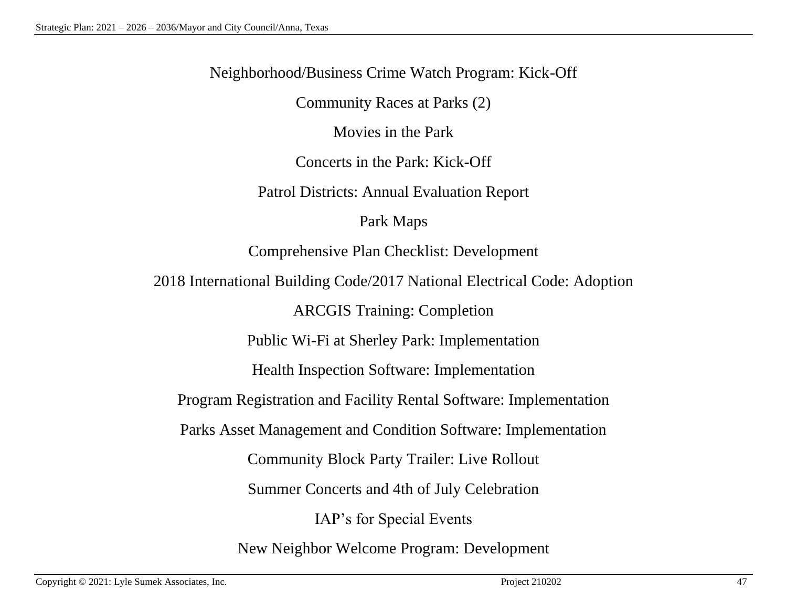Neighborhood/Business Crime Watch Program: Kick-Off

Community Races at Parks (2)

Movies in the Park

Concerts in the Park: Kick-Off

Patrol Districts: Annual Evaluation Report

Park Maps

Comprehensive Plan Checklist: Development

2018 International Building Code/2017 National Electrical Code: Adoption

ARCGIS Training: Completion

Public Wi-Fi at Sherley Park: Implementation

Health Inspection Software: Implementation

Program Registration and Facility Rental Software: Implementation

Parks Asset Management and Condition Software: Implementation

Community Block Party Trailer: Live Rollout

Summer Concerts and 4th of July Celebration

IAP's for Special Events

New Neighbor Welcome Program: Development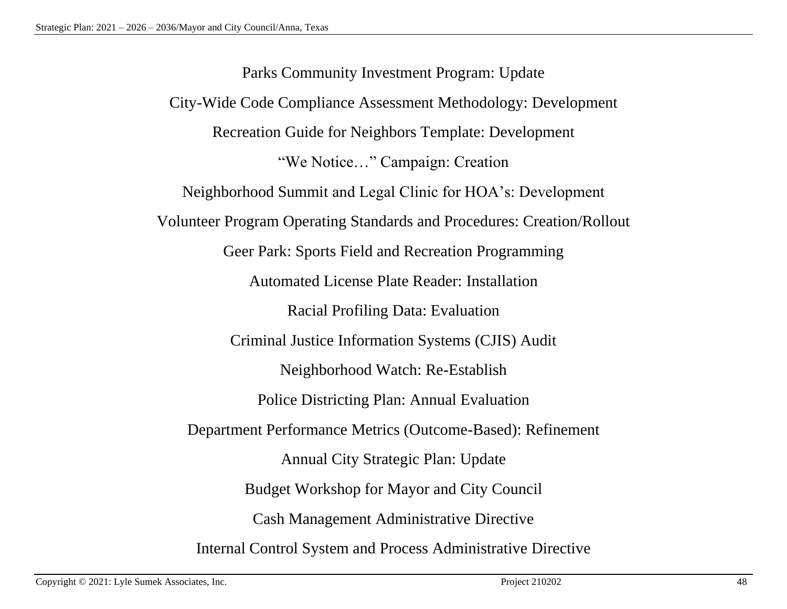Parks Community Investment Program: Update City-Wide Code Compliance Assessment Methodology: Development Recreation Guide for Neighbors Template: Development "We Notice…" Campaign: Creation Neighborhood Summit and Legal Clinic for HOA's: Development Volunteer Program Operating Standards and Procedures: Creation/Rollout Geer Park: Sports Field and Recreation Programming Automated License Plate Reader: Installation Racial Profiling Data: Evaluation Criminal Justice Information Systems (CJIS) Audit Neighborhood Watch: Re-Establish Police Districting Plan: Annual Evaluation Department Performance Metrics (Outcome-Based): Refinement Annual City Strategic Plan: Update Budget Workshop for Mayor and City Council Cash Management Administrative Directive Internal Control System and Process Administrative Directive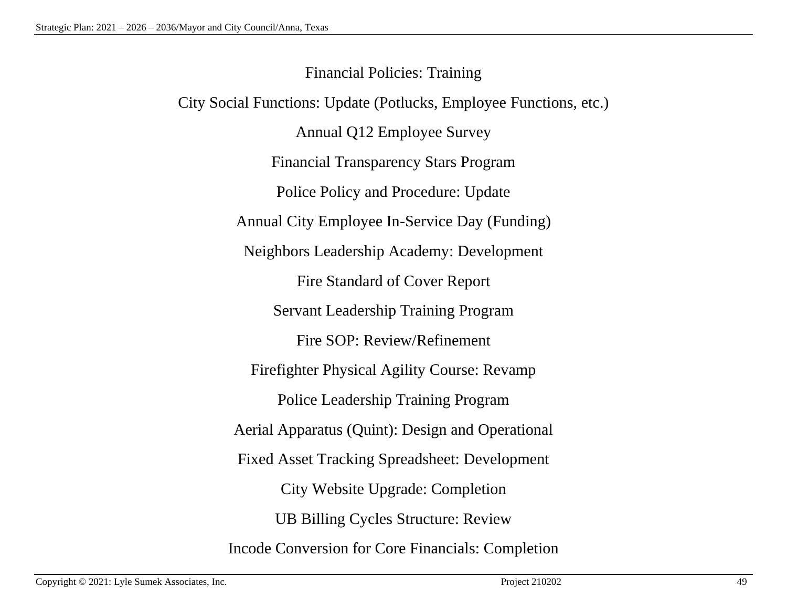Financial Policies: Training City Social Functions: Update (Potlucks, Employee Functions, etc.) Annual Q12 Employee Survey Financial Transparency Stars Program Police Policy and Procedure: Update Annual City Employee In-Service Day (Funding) Neighbors Leadership Academy: Development Fire Standard of Cover Report Servant Leadership Training Program Fire SOP: Review/Refinement Firefighter Physical Agility Course: Revamp Police Leadership Training Program Aerial Apparatus (Quint): Design and Operational Fixed Asset Tracking Spreadsheet: Development City Website Upgrade: Completion UB Billing Cycles Structure: Review Incode Conversion for Core Financials: Completion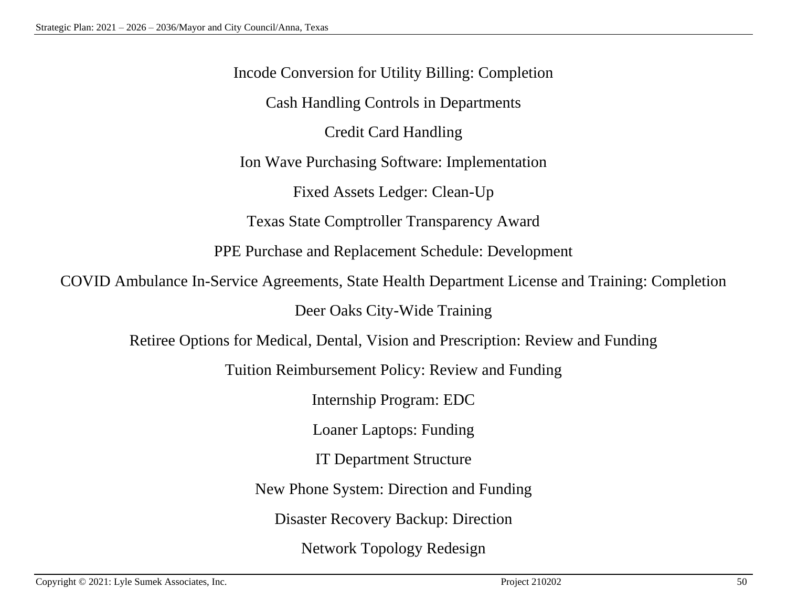Incode Conversion for Utility Billing: Completion Cash Handling Controls in Departments Credit Card Handling Ion Wave Purchasing Software: Implementation Fixed Assets Ledger: Clean-Up Texas State Comptroller Transparency Award PPE Purchase and Replacement Schedule: Development COVID Ambulance In-Service Agreements, State Health Department License and Training: Completion Deer Oaks City-Wide Training Retiree Options for Medical, Dental, Vision and Prescription: Review and Funding Tuition Reimbursement Policy: Review and Funding Internship Program: EDC Loaner Laptops: Funding IT Department Structure New Phone System: Direction and Funding Disaster Recovery Backup: Direction Network Topology Redesign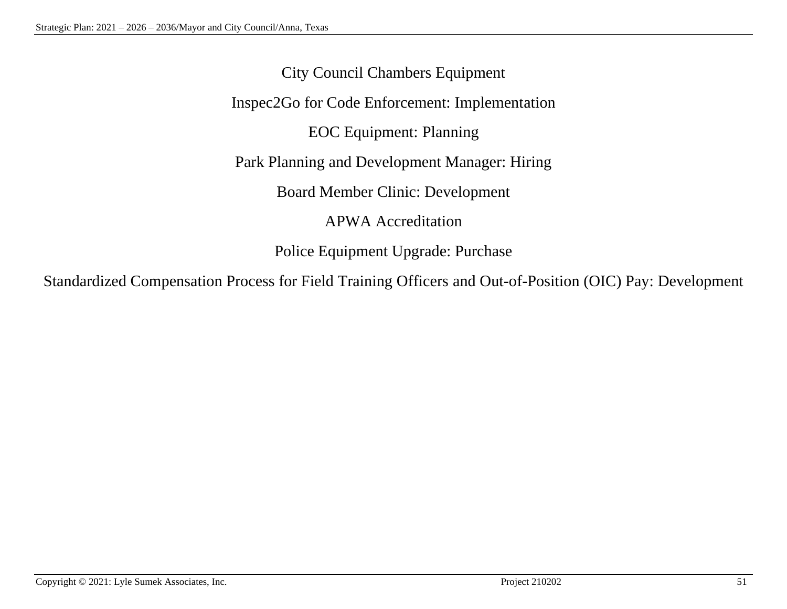City Council Chambers Equipment Inspec2Go for Code Enforcement: Implementation EOC Equipment: Planning Park Planning and Development Manager: Hiring Board Member Clinic: Development APWA Accreditation Police Equipment Upgrade: Purchase

Standardized Compensation Process for Field Training Officers and Out-of-Position (OIC) Pay: Development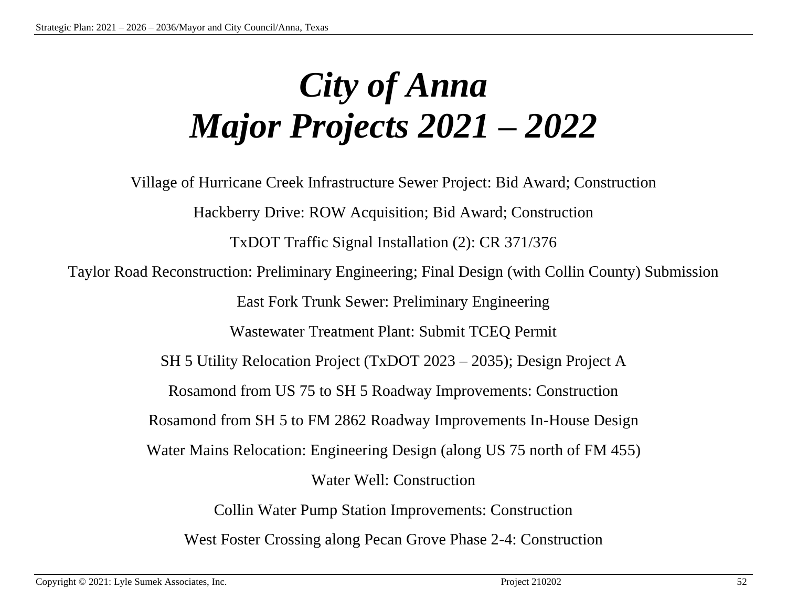# *City of Anna Major Projects 2021 – 2022*

Village of Hurricane Creek Infrastructure Sewer Project: Bid Award; Construction Hackberry Drive: ROW Acquisition; Bid Award; Construction TxDOT Traffic Signal Installation (2): CR 371/376 Taylor Road Reconstruction: Preliminary Engineering; Final Design (with Collin County) Submission East Fork Trunk Sewer: Preliminary Engineering Wastewater Treatment Plant: Submit TCEQ Permit SH 5 Utility Relocation Project (TxDOT 2023 – 2035); Design Project A Rosamond from US 75 to SH 5 Roadway Improvements: Construction Rosamond from SH 5 to FM 2862 Roadway Improvements In-House Design Water Mains Relocation: Engineering Design (along US 75 north of FM 455) Water Well: Construction Collin Water Pump Station Improvements: Construction West Foster Crossing along Pecan Grove Phase 2-4: Construction